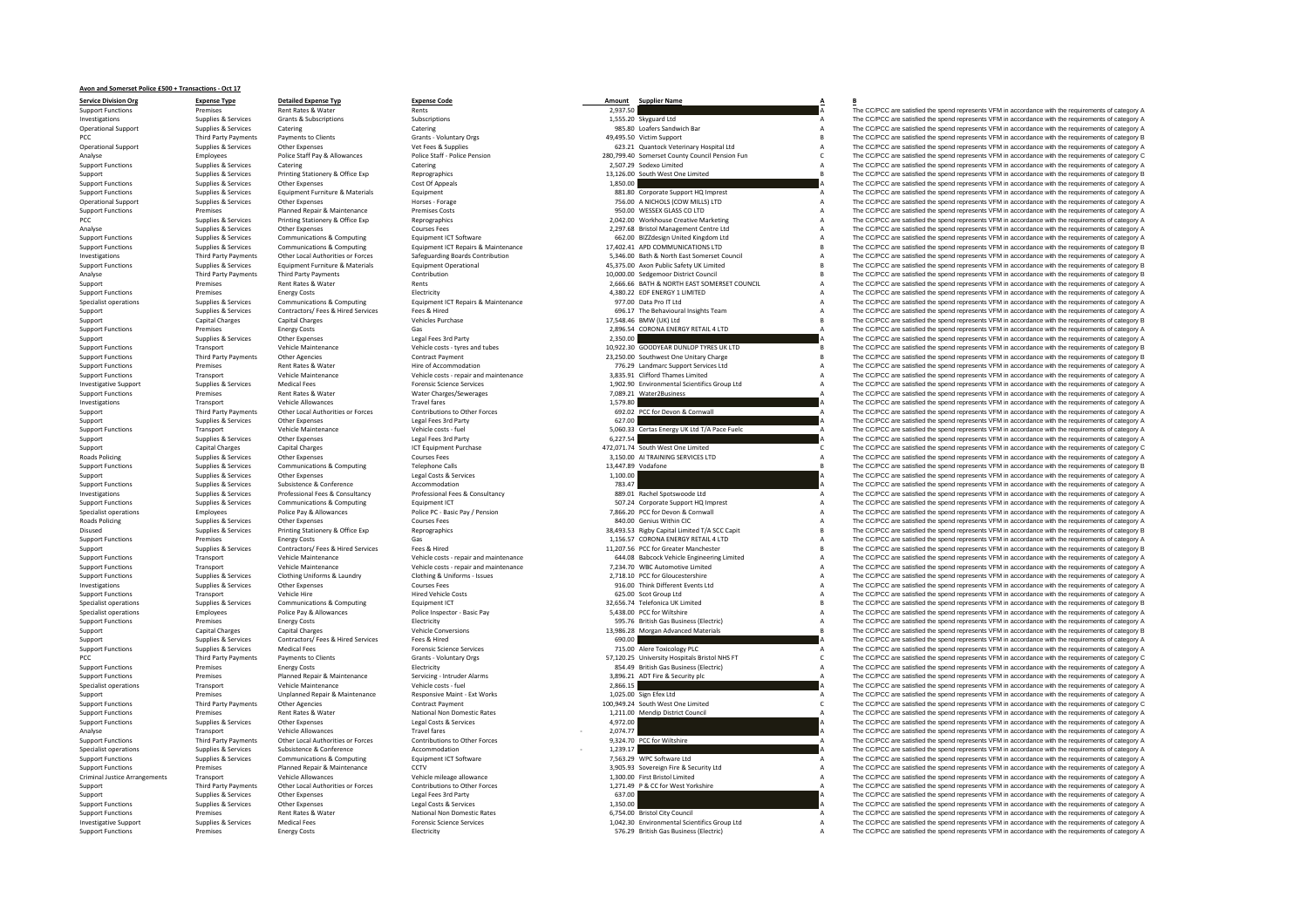## PCC Third Third Third Third Third Third Third Third Third Third Third Third Third Third Third Third Third Third **Roads Policing** Roads Policing PCC Third Party Payment Criminal Justice

**Avon and Somerset Police £500 <sup>+</sup> Transactions ‐ Oct 17**

**Service Division**

 **Org Expense Type Detailed Expense Typ Expense Code Amount Supplier Name A B** Operational Support Supplies & Services Other Expenses Horses ‐ Forage 756.00 A NICHOLS (COWSupport Capital Charges Capital Charges Vehicles Purchase 17,548.46 BMW

Support Functions Premises Rent Rates & Water Rents 2,937.50 A The CC/PCC are satisfied the spend represents VFM in accordance with the requirements of category A Supplies & Services Grants & Subscriptions Subscriptions Subscriptions Subscriptions Subscriptions Subscriptions Subscriptions Subscriptions and the Subscriptions of the Subscriptions of the Subscriptions of the Subscripti Operational Support Supplies Catering Catering Catering Catering Catering Catering Catering Catering Catering Catering Catering Catering Catering Catering Catering Catering Catering Catering Catering Catering Catering Cate Pair Payments Clients Clients Clients Clients Create Victim Support B The CC/PCC are satisfied the spend represents VFM in accordance with the requirements of category B Operational Support Supplies & Services Other Expenses Vet Fees & Supplies Vet Fees & Supplies 623.21 Quantock Veterinary Hospital Ltd A The CC/PCC are satisfied the spendance with the requirements of category A The CC/PCC Analyse the constant of the start of the constant of the constant of the constant of the constant of the constant of the constant of the constant of the constant of the constant of the constant of the constant of the const Supplies & Services Catering Catering Catering Catering Catering Catering Catering Catering Catering Catering Catering Catering Catering 2,507.29 Sodexo Limited A The CC/PCC are satisfied the spend represents VFM in accord Support Supplies & Services Printing Stationery & Office Exp Reprographics 13,126.00 South West One Limited 13,126.00 South West One Limited B The CC/PCC are satisfied the spend represents VFM in accordance with the requir Support Functions Supplies & Services Other Expenses Cost Of Appeals Cost Of Appeals Cost Of Appeals Cost Of Appeals 1,850.00 A The CC/PCC are satisfied the spend represents VFM in accordance with the requirements of categ Support Functions Supplies & Services Equipment Furniture & Materials Equipment Buy and the Support HQ Imprest A The CC/PCC are satisfied the spend represents VFM in accordance with the requirements of category A MILLS) LTD A The CC/PCC are satisfied the spend represents VFM in accordance with the requirements of category A<br>A The CC/PCC are satisfied the spend represents VFM in accordance with the requirements of category A support Functions Premises Costs Premises Planned Repair & Maintenance Premises Costs 950.00 WESSEX GLASS CO. TD A The CC/PCC are satisfied the spend represents VFM in accordance with the requirements of category A The CC/ PCC Supplies & Supplies Printing Stationery & Office Exp Reprographics Reprographics 2,042.00 Workhouse Creative Marketing A The CC/PCC are satisfied the spend reprographics of category A The Creative Marketing A The CC/PC Analyse Supplies & Services Other Expenses Courses Fees 2,297.68 Bristol Management Centre Ltd A The CC/PCC are satisfied the spend represents VFM in accordance with the requirements of category A Supplies & Services Communications & Computing Equipment ICT Software Equipment ICT Software communications and the communications and the COPCC are satisfied the spend represents VFM in accordance with the requirements of Supplies & Services Communications & Computing Equipment ICT Repairs & Maintenance 17,402.41 APD COMMUNICATIONS LTD B The COPCC are satisfied the spend represents VFM in accordance with the requirements of category B Equip of the control of the control of the control of the control of the control of the control of the control of the control of the control of the control of the control of the control of the control of the control of the contr Supplies & Services Equipment Furniture & Materials Equipment Operational Equipment Operational expansional control and the material of the COPCC are satisfied the spend represents VFM in accordance with the requirements o Third Party Payments Contribution Contribution 10,000.00 Sedgemoor District Council B The CC/PCC are satisfied the spend represents VFM in accordance with the requirements of category B 10,000.00 Sedgemoor District Council Support Premises Rent Rates & Water Rents Rents Rent Rent Rent Rent Rents 2,666.66 BATH & NORTH EAST SOMERSET COUNCIL A The CC/PCC are satisfied the spend represents VFM in accordance with the requirements of category A Su Support Functions Premises Energy Costs Energy Costs Bettricity Electricity Electricity A,380.22 EDF ENERGY 1 LIMITED A The CC/PCC are satisfied the spend represents VFM in accordance with the requirements of category A Sp 977.00 Data Pro IT Ltd COPC are sails field the spend represents VFM in accordance with the requirements of category A<br>A The CO/PCC are satisfied the spend represents VFM in accordance with the requirements of category A Support Supplies Acceptions: Contractors/ Fees Hired Services Fees British Pees Alice Instants Instants Instants Team A The CC/PCC are satisfied the spend represents VFM in accordance with the requirements of category A Th 17,548.46 BMW (UK) Ltd CC/PCC are satisfied the spend represents VFM in accordance with the requirements of category B<br>2.896.54 CORONA ENERGY RETAIL 4.ITD 4 The CC/PCC are satisfied the spend represents VEM in accordance w Support Functions Premises Energy Costs Gas Gas 2,896.54 CORONA ENERGY RETAIL 4 LTD A The CC/PCC are satisfied the spend represents VFM in accordance with the requirements of category A Category A Corona in the requirement Supplies & Supplies A Supplies Content Other Expenses Legal Fees 3rd Party 2,350.00 A The CC/PCC are satisfied the spend represents VFM in accordance with the requirements of category A Content of Category B Vehicle Mainte Support Functions Transport Vehicle Maintenance Vehicle costs - tyres and tubes 10,922.30 GOODYEAR DUNLOP TYRES UK LTD B The CC/PCC are satisfied the spend represents VFM in accordance with the requirements of category B C The CC/PCC are satisfied the spend represents VFM in accordance with the requirements of category B Support Functions Premises Rent Rates Rent Rates Rent Rates Rent Rates Rent Rates Rent Rates Rent Rates A The CC/PCC are satisfied the Support Support Services Ltd A The CC/PCC are satisfied the Services Weith the requirem Support Functions Transport Vehicle Maintenance Vehicle costs - repair and maintenance Vehicle costs - repair and maintenance 3,835.91 Clifford Thames Limited A The CC/PCC are satisfied the spend represents VFM in accordan of the support of the support of the support of the support of the support of the support of the support of the support of the support of the support of the support of the support of the support of the support of the suppo Support Functions Premises Rent Rates & Water Water Charges/Sewerages 7,089.21 Water2Business A The CC/PCC are satisfied the spend represents VFM in accordance with the requirements of category A The Critical Charges and T Transport Vehicle Allowances Travel Travel Travel in the Section of the Section A The COPC are satisfied the spend represents VFM in accordance with the requirements of category A The COPC are satisfied the spend represent Support Thin Party Payments of Deterbook of Determination of the Controllection of the Community of the Community of the Community of the Community of the Community of the Community of the Community of the community of t Support Supplies & Services Other Expenses Legal Fees 3rd Party Legal Fees 3rd Party Category A The COPCC are satisfied the spend represents VFM in accordance with the requirements of category A Vehicle Maintenance Vehicle Transport Functions Transport Vehicle costs – fuel the spend of category and the spend of the spend of the spend of the spend of the spend of the spend of the spend represents VFM in accordance with the requirements of c Supplies Barvices A Support Support Support Support Support Support Support Support Support Support Support Support Support Support Support Support Support Support Support Support Support Support Support Support Support Su Support Capital Charges Capital Charges Capital Charges ICT Equipment Purchase 472,071.74 South West One Limited C The CC/PCC are satisfied the spend represents VFM in accordance with the requirements of category C Capital Policing Services Other Expenses Courses Fees 3,150.000 AITRAINING SERVICES LTD ATT ATT A THE COPIC are satisfied the spend represents VFM in accordance with the requirements of category A<br>Supplies & Services Communication Support Functions Supplies Support Calls Communications Support Calls 13,447.89 Vodafone Calls 13,447.89 Vodafone B The CC/PCC are satisfied the spend represents VFM in accordance with the requirements of category B The CO Support Support Services Other Expenses Legal Costs & Services Legal Costs & Services Legal Costs & Services Legal Costs & Services 1,100.00 A The CC/PCC are satisfied the spend represents VFM in accordance with the requir Support Functions Subsistence Subsistence Accommodation Accommodation 783.47 A The COPCC are satisfied the spend represents VFM in accordance or atequirements of category A The COPCC are satisfied the spend represents VFM mestigations and the specific of the consultancy of the consultancy and the specific consultancy of the consultancy of the consultancy of the consultancy of the consultancy of the consultancy of the consultance of the cons Support Functions Supplies & Services Communications & Computing Equipment ICT Equipment ICT 507.24 Corporate Support HQ Imprest A The CC/PCC are satisfied the spend represents VFM in accordance with the requirements of ca Specialist operations Employees Police Pay Allowances Police PC - Basic Pay / Pension 7,966.20 PCC for Devon & Cornwall A The CC/PCC are satisfied the spend represents VFM in accordance with the requirements of category A Policing Supplies Other Expenses Courses Fees Courses Fees 840.00 Genius Within CIC are according to the Services Courses Courses Courses Fees 840.00 Genius Within CIC A The CC/PCC are satisfied the spend represents VFM in Disused Supplies & Services Printing Stationery & Office Exp Reprographics and Supplies and the Supplies and Supplies and the Supplies Approximate District ACC Capital Limited T/A SCC Capital Limited T/A SCC Capital Limite Premises Energy Costs Costs Category A Control Control Control Control Control Control Costs Control Control Costs Control Control Control Control Control Control Control Control Control Control Control Control Control Con Supplies & Services Contractors/ Fees & Hired Services Fees & Hired Services Fees & Hired Services Fees & Hired Services Fees & Hired The Support 11,207.56 PCC for Greater Manchester B The CC/PCC are satisfied the spend re of the man of the man of the man of the man of the man of the man of the man of the man of the man of the man of the man of the man of the man of the man of the man of the man of the man of the man of the man of the man of Support Functions Transport Vehicle Maintenance Vehicle Costs • repair and maintenance 7,234.70 WBC Automotive Limited A The CC/PCC are satisfied the spend represents VFM in accordance with the requirements of category A S of the contract of the contract of the contract of the contract of the contract of the contract of the contract of the contract of the contract of the contract of the contract of the contract of the contract of the contrac Investigations Supplies & Services Other Expenses Courses Fees Courses Fees Pass Courses Fees 916.00 Think Different Events Ltd A The CC/PCC are satisfied the spend represents VFM in accordance with the requirements of cat Transport Vehicle Hire Mired Vehicle Costs 625.00 Scot Group Ltd A The CC/PCC are satisfied the spend represents VFM in accordance with the requirements of category A Specialist operations Supplies & Services Communications & Computing Equipment ICT Equipment ICT 32,656.74 Telefonica UK Limited B The CC/PCC are satisfied the spend represents VFM in accordance with the requirements of ca Specialist operations Employees Police Pay & Allowances Police Inspector - Basic Pay Police Inspector - Basic Pay Folice Inspector - Basic Pay 5,438.00 PCC for Wiltshire A The CC/PCC are satisfied the spend represents VFM extricity Functions Premises Energy Costs Support Functions Electricity 595.76 British Gas Business (Electricity Support of American Category A The CC/PCC are satisfied the spend represents VFM in accordance with the requi Support Capital Charges Capital Charges Capital Charges Vehicle Conversions Vehicle Conversions 13,986.28 Morgan Advanced Materials B The CC/PCC are satisfied the spend represents VFM in accordance with the requirements of Support Supplies & Services Contractors/ Fees & Hired Services Fees & Hired Services Fees & Hired Services Fees & Hired Services Fees & Hired Services Contractors/ Fees & Hired Services Fees & Hired Services Fees & Hired S  $\begin{array}{c} \text{Medical fees} \\ \text{Personic Science Services} \end{array} \begin{array}{c} \text{Poisson} \\ \text{S3120.25} \end{array} \begin{array}{c} \text{Three-}\text{Grucology PLC} \end{array} \begin{array}{c} \text{Three-}\text{C} \\ \text{Three-}\text{C} \end{array} \begin{array}{c} \text{Three-}\text{C} \\ \text{Three-}\text{C} \end{array} \begin{array}{c} \text{Three-}\text{C} \\ \text{Three-}\text{C} \end{array} \begin{array}{c} \text{Three-}\text{C} \\ \text{Three-}\text{C} \end{array} \begin$ Party Payments Organization Clients Crants Clients Crants Crants Crants Crants Crants Crants Crants Crants Cran<br>Payment C The CC/PCC are satisfied the soend represents VFM in accordance with the requirements of category A Support Functions Premises Energy Costs Energy Costs Energy Costs Energy Costs Energy Costs Energy Costs Energy Costs Energy Costs Energy Costs Energy A The CC/PCC are satisfied the spend represents VFM in accordance with Support Functions Premises Planned Repair & Maintenance Servicing Intruder Alarms 3,896.21 ADT Fire & Security plc A The CC/PCC are satisfied the spend represents VFM in accordance with the requirements of category A The C Specialist operations **and Transport** Vehicle Maintenance Vehicle costs fuel 2,866.15 **A** The CC/PCC are satisfied the spend represents VFM in accordance with the requirements of category A Support Premises Unplanned Repair & Maintenance Responsive Maint ‐ Ext Works 1,025.00 Sign Efex Ltd A The CC/PCC are satisfied the spend represents VFM in accordance with the requirements of category A Support Functions Third Party Payments Other Agencies Contract Payment 100,949.24 South West One Limited C The CC/PCC are satisfied the spend represents VFM in accordance with the requirements of category C Support Functions Premises Rent Rates & Water National Non Domestic Rates 1,211.00 Mendin District Council A The CC/PCC are satisfied the spend represents VFM in accordance with the requirements of category A Support Functions Supplies Services Other Expenses Legal Costs & Services A The CC/PCC are satisfied the spend represents VFM in accordance with the requirements of category A The COSTS of category A The COSTS A The COPC a Analyse Transport Vehicle Allowances Travel fares Travel fares Travel fares Travel fares Travel fares and the spend represents of the CO/PCC are satisfied the spend represents VFM in accordance with the requirements of cat Support Functions Third Party Payments Other Local Authorities or Forces Contributions to Other Forces 9,324.70 PCC for Wiltshire A The CC/PCC are satisfied the spend represents VFM in accordance with the requirements of category A Specialist operations Subsistence & Conference Accommodation Accommodation 1,239.17 • The COPCC are satisfied the spend represents VFM in accordance with the requirements of category A<br>Supplies & Services Communications & Support Functions Supplies & Services Communications & Computing Equipment ICT Software Equipment ICT Software 10 7,563.29 WPC Software Ltd A The CC/PCC are satisfied the spend represents VFM in accordance with the require Support Functions Premises Planned Repair & Maintenance CCTV CCTV 3,905.93 Sovereign Fire & Security Ltd A The CC/PCC are satisfied the spend represents VFM in accordance with the requirements of category A Criminal Justic Transport Vehicle Allowances Vehicle mileage allowance 1,300.00 First Bristol Limited A The CC/PCC are satisfied the spend represents VFM in accordance with the requirements of category A The CC/PCC are satisfied the spend Note that the experiments of the controller of the controller of the controller of the controller of the controller of the controller of the controller of the controller of the controller of the controller of the controlle Supplies & Supplies Supplies Center Other Expenses Legal Fees 3rd Party Legal Fees 3rd Party Center Communication Communication Center CO/PCC are satisfied the spend represents VFM in accordance with the requirements of ca expenses Supplies & Services Other Expenses Legal Costs & Services Legal Costs & Services Legal Costs & Services Legal Costs & Services Legal Costs & Services 2000 A The CC/PCC are satisfied the spend represents VFM in acc Support Functions Premises Rent Rates Rent Rates Rent Rates National Non Domestic Rates Rent Rates 6,754.00 Bristol City Council A The CC/PCC are satisfied the spend represents VFM in accordance with the requirements of ca Investigative Support Supplies & Services Medical Fees Support Peremic Support Support Support Support Support<br>
Support Functions Premises Services Premises (Energy Costs Support Energy Costs Energy Costs Support Energy Co The CC/PCC are satisfied the spend represents VFM in accordance with the requirements of category A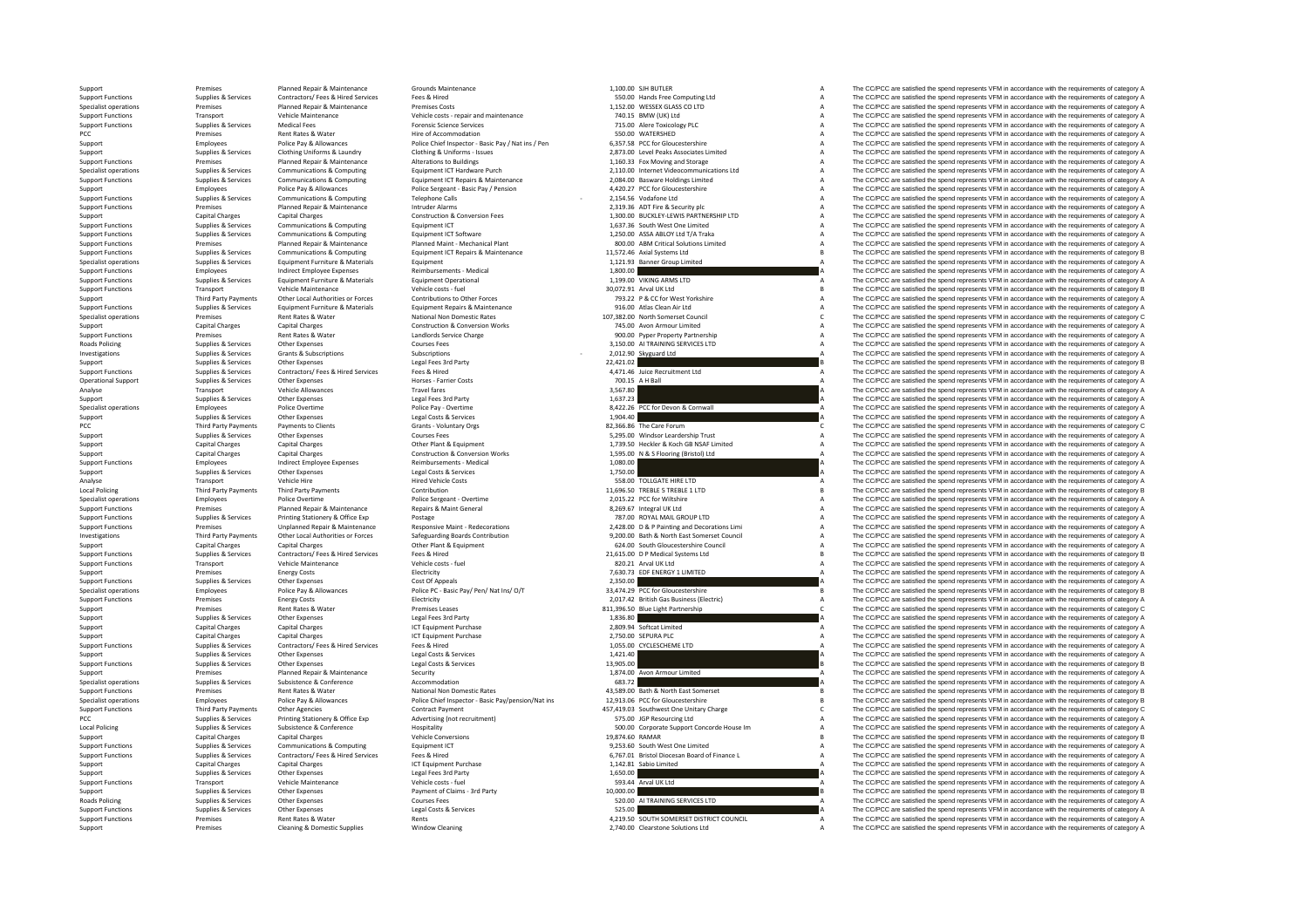PCC Premises Roads Policing PCC Third Party Payments Local Policing **Local Policing** Roads Policing

Support Functions Transport Vehicle Maintenance Vehicle Costs ‐ repair and maintenance<br>
Support Functions 740.15 Supplies & Services Medical Fees Premiers Science Services Rates &Support Functions<br>Support Functions Premises Permises Planned Repair & Maintenance Planned Maint • Mechanical Plant 800.00 ABM<br>Support Functions Supplies & Services Communications & Computing Equipment ICT Repairs & Mainte

|                             | 1.100.00 SJH BUTLER                                                        | Α        |
|-----------------------------|----------------------------------------------------------------------------|----------|
|                             | 550.00 Hands Free Computing Ltd                                            | A<br>A   |
|                             | 1,152.00 WESSEX GLASS CO LTD<br>740.15 BMW (UK) Ltd                        | A        |
|                             | 715.00 Alere Toxicology PLC                                                | A        |
|                             | 550.00 WATERSHED                                                           | A        |
|                             | 6,357.58 PCC for Gloucestershire                                           | A        |
|                             | 2,873.00 Level Peaks Associates Limited                                    | A        |
|                             | 1,160.33 Fox Moving and Storage                                            | A        |
|                             | 2,110.00 Internet Videocommunications Ltd                                  | A        |
|                             | 2,084.00 Basware Holdings Limited                                          | A        |
|                             | 4,420.27 PCC for Gloucestershire                                           | A        |
|                             | 2,154.56 Vodafone Ltd                                                      | A<br>A   |
|                             | 2,319.36 ADT Fire & Security plc<br>1,300.00 BUCKLEY-LEWIS PARTNERSHIP LTD | A        |
|                             | 1,637.36 South West One Limited                                            | A        |
|                             | 1,250.00 ASSA ABLOY Ltd T/A Traka                                          | A        |
|                             | 800.00 ABM Critical Solutions Limited                                      | A        |
|                             | 11,572.46 Axial Systems Ltd                                                | B        |
|                             | 1,121.93 Banner Group Limited                                              | A        |
| 1,800.00                    |                                                                            | A<br>A   |
|                             | 1,199.00 VIKING ARMS LTD<br>30,072.91 Arval UK Ltd                         | B        |
|                             | 793.22 P & CC for West Yorkshire                                           | A        |
|                             | 916.00 Atlas Clean Air Ltd                                                 | A        |
|                             | 107,382.00 North Somerset Council                                          | c        |
|                             | 745.00 Avon Armour Limited                                                 | A        |
|                             | 900.00 Pyper Property Partnership                                          | A        |
|                             | 3,150.00 AI TRAINING SERVICES LTD                                          | A<br>A   |
| 2,012.90<br>22,421.02       | Skyguard Ltd                                                               | B        |
|                             | 4,471.46 Juice Recruitment Ltd                                             | A        |
| 700.15                      | A H Ball                                                                   | A        |
| 3,567.80                    |                                                                            | A        |
| 1,637.23                    |                                                                            | A        |
| 8,422.26                    | PCC for Devon & Cornwall                                                   | A        |
| 1,904.40                    |                                                                            | A        |
|                             | 82,366.86 The Care Forum<br>5,295.00 Windsor Leardership Trust             | C<br>A   |
|                             | 1,739.50 Heckler & Koch GB NSAF Limited                                    | A        |
| 1,595.00                    | N & S Flooring (Bristol) Ltd                                               | A        |
| 1.080.00                    |                                                                            | A        |
| 1,750.00                    |                                                                            | A        |
| 558.00                      | TOLLGATE HIRE LTD                                                          | A        |
|                             | 11,696.50 TREBLE 5 TREBLE 1 LTD                                            | B        |
|                             | 2,015.22 PCC for Wiltshire                                                 | A<br>A   |
| 787.00                      | 8,269.67 Integral UK Ltd<br>ROYAL MAIL GROUP LTD                           | A        |
|                             | 2,428.00 D & P Painting and Decorations Limi                               | A        |
|                             | 9,200.00 Bath & North East Somerset Council                                | A        |
|                             | 624.00 South Gloucestershire Council                                       | A        |
|                             | 21,615.00 D P Medical Systems Ltd                                          | B        |
|                             | 820.21 Arval UK Ltd                                                        | A        |
| 7,630.73                    | EDF ENERGY 1 LIMITED                                                       | A        |
| 2,350.00                    | 33,474.29 PCC for Gloucestershire                                          | A<br>B   |
|                             | 2,017.42 British Gas Business (Electric)                                   | A        |
|                             | 811,396.50 Blue Light Partnership                                          | C        |
| 1,836.80                    |                                                                            | <b>A</b> |
|                             | 2,809.94 Softcat Limited<br>2,750.00 SEPURA PLC                            | A        |
|                             |                                                                            | A        |
|                             | 1,055.00 CYCLESCHEME LTD                                                   | A        |
| 1.421.40<br>13.905.00       |                                                                            | A<br>B   |
| 1,874.00                    | Avon Armour Limited                                                        | A        |
| 683.72                      |                                                                            | lA       |
| 43.589.00                   | Bath & North East Somerset                                                 | B        |
|                             | 12,913.06 PCC for Gloucestershire                                          | B        |
|                             | 457,419.03 Southwest One Unitary Charge                                    | C        |
|                             | 575.00 JGP Resourcing Ltd                                                  | A        |
|                             | 500.00 Corporate Support Concorde House Im                                 | A<br>B   |
| 19,874.60 RAMAR<br>9,253.60 | South West One Limited                                                     | A        |
|                             | 6,767.01 Bristol Diocesan Board of Finance L                               | A        |
| 1.142.81                    | Sabio Limited                                                              | A        |
| 1,650.00                    |                                                                            | A        |
| 593.44                      | Arval UK Ltd                                                               | A        |
| 10,000.00                   |                                                                            | B        |
|                             |                                                                            |          |
| 520.00                      | AI TRAINING SERVICES LTD                                                   | A        |
| 525.00<br>4,219.50          | SOUTH SOMERSET DISTRICT COUNCIL                                            | A<br>A   |

Support Premises Planned Repair & Maintenance Grounds Maintenance Grounds Maintenance 1,100.00 SJH BUTLER A The CC/PCC are satisfied the spend represents VFM in accordance with the requirements of category A SSLO and SSLO Support Functions Supplies Services Contractors/ Fees Support Free Computing League of Computing League and the spend represents Free COPC are satisfied the spend represents VFM in accordance with the requirements of categ Specialist operations Premises Planned Repair & Maintenance Premises Costs 1,152.00 WESSEX COLTD A The CC/PCC are satisfied the spend represents VFM in accordance with the requirements of category A The CC/PCC are satisfie The CC/PCC are satisfied the spend represents VFM in accordance with the requirements of category A Supplies & Services Medical Fees **Functions Supplies A The Support Functions Containers** of Containers of category A The CC/PCC are satisfied the spend represents VFM in accordance with the requirements of category A er Hire of Accommodation 550.000 WATERSHED A The OPCO SAND A The COPC are satisfied the Spend represents VFM in accordance with the requirements of category A The COPC are satisfied the spend represents VFM in accordance w Fundances Police Pay & Allowances Police Philip Pay & Allowances Police Chief Inspector - Basic Pay / Nat ins / Pen 6357.58 PCC for Glourestershire Assessment Assessment Device and the COPCC are satisfied the spend represe Contage of the Contage of the Contage of the Contage of Contage of Contage of Contage Change in the Contage of Contage of Contage of Contage of Contage of Contage of Contage of Contage of Contage of Contage of Contage of C Support Functions Premises Planned Repair & Maintenance Alterations to Buildings A The CC-PCC are satisfied the spend represents VFM in accordance with the requirements of category A The CC-PCC are satisfied the spend repr Superialist negative contrast contrast contrast contrast contrast contrast contrast contrast contrast contrast contrast contrast contrast contrast contrast contrast contrast contrast contrast contrast contrast contrast con Supplies & Services Communications & Computing Equipment ICT Repairs & Maintenance 2084.00 Basware Holdings Limited May are the COPCC are satisfied the spend represents VFM in accordance with the requirements of category A Support Employees Police Pay & Allowances Police Sergeant - Basic Pay / Pension 4,420.27 PCC for Gloucestershire A The CC/PCC are satisfied the spend represents VFM in accordance with the requirements of category A Supplie Support Functions Supplies & Services Communications & Computing Telephone Calls 2,154.56 Vodafone Ltd A The CC/PCC are satisfied the spend represents VFM in accordance with the requirements of category A Support Functions Examples Planned Repair & Maintenance Intruder Alarms Intrustructure Alarms 2,319.36 ADT Fire & Security plc A The CC/PCC are satisfied the spend represents VFM in accordance with the requirements of category A Capital Cha Support Capital Charges Capital Charges Capital Charges Capital Charges Construction at Conversion Fees 1,300.00 BUCKLEY⊢LEWIS PARTNERSHIP LTD A The CC/PCC are satisfied the spend represents VFM in accordance with the re Support Functions Supplies & Services Communications & Computing Equipment ICT Equipment ICT 1,637.36 South West One Limited A The CC/PCC are satisfied the spend represents VFM in accordance with the requirements of catego The CC/PCC are satisfied the spend represents VFM in accordance with the requirements of category A The CC/PCC are satisfied the spend represents VFM in accordance with the requirements of category A Supplies & Services Communications & Computing Equipment ICT Repairs & Maintenance 11,572.46 Axial Systems Ltd Maintenance Burgeon Burgeon Banner COPCC are satisfied the spend represents VFM in accordance with the requirem Specialist operations Supplies & Services Equipment Furniture & Materials Equipment 1,121.93 Banner Group Limited A The CC/PCC are satisfied the spend represents VFM in accordance with the requirements of category A Suppli Support Functions Contract Contract Contract Punctions and the expenses and the contract expenses Reimbursements • Medical 1,800.00 A The CC/PCC are satisfied the spend represents VFM in accordance with the requirements of Support Functions Supplies & Services Equipment Furniture & Materials Equipment Operational 1,199.00 VIKING ARMS LTD A The CC/PCC are satisfied the spend represents VFM in accordance with the requirements of category A Sup Support Functions Transport Functions Transport Functions Transport Constructions Constructions and the Support Transport Constructions of the Support of the Support of the Support of the Support of the Support of the Supp Thin that the control of the controllation of the controllation of the controllation of the controllation of the controllation of the controllation of the controllation of the controllation of the controllation of the cont output on the Supplies & Services Equipment Funture & Materials Equipment Repairs & Maintenance of the Support Public and the COPCC are satisfied the spend represents VFM in accordance with the requirements of category A<br>S Premises Rent Rates & Water National Non Domestic Rates 107,382.00 North Somerset Council C The CC/PCC are satisfied the spend represents VFM in accordance with the requirements of category C Category Construction & Conver Support Capital Charges Capital Charges Capital Charges Capital Charges Capital Charges Capital Charges Capital Charges Capital Charges Capital Charges Capital Charges Capital Charges Capital Charge Capital Charges Capital Premises Rent Rates & Water Landlords Service Charge Support A Support Partnership A The CC/PCC are satisfied the spend represents VFM in accordance with the requirements of category A Support Partnership A The CC/PCC are Policing Supplies Alexander Courses Courses Courses Courses Courses Courses Courses Courses Courses Courses Courses Courses Courses Courses Courses Courses Courses Courses Courses Courses Courses Courses Courses Courses Co Investigations Supplies & Services Grants & Subscriptions Subscriptions Subscriptions Subscriptions Subscriptions Subscriptions and the Subscriptions of the Subscriptions of the COLOS of the Subscriptions of Category A The COPC CORPORT SUPPORT SUPPORT SUPPORT SUPPORT SUPPORT SUPPORT SUPPORT SUPPORT SUPPORT SUPPORT SUPPORT SUPPORT SUPPORT SUPPORT SUPPORT SUPPORT SUPPORT SUPPORT SUPPORT SUPPORT SUPPORT SUPPORT SUPPORT SUPPORT SUPPORT SUPPORT S Support Functions Supplies & Services Contractors/ Fees & Hired Fees & Hired 4,471.46 Juice Recruitment Ltd A The CC/PCC are satisfied the spend represents VFM in accordance with the requirements of category A The CC/PCC a Operational Support Supplies & Services Other Expenses Horses Expenses Horses Expenses Horses Expenses Horses Light A H Ball A The CC/PCC are satisfied the spend represents VFM in accordance with the requirements of catego Analyse Transport Vehicle Allowances Travel fares Travel fares 3,57.80 A The CC/PCC are satisfied the spend represents VFM in accordance with the requirements of category A Support Supplies & Services Other Expenses Legal Fees 3rd Party 1,637.23 1,637.23 A The CC/PCC are satisfied the spend represents VFM in accordance with the requirements of category A Specialist operations Employees Police Overtime Police Pay - Overtime Police Pay - Overtime 8,422.26 PCC for Devon & Cornwall A The CC/PCC are satisfied the spend represents VFM in accordance with the requirements of categ Supplies & Supplies Support Other Expenses Legal Costs & Services Legal Costs & Services 2008 Costs 2008 2008 A The CC/PCC are satisfied the spend represents VFM in accordance with the requirements of category A Creat Cost Third Party Payments Payments to Clients Grants Voluntary Orgs 82,366.86 The Care Forum C The CC/PCC are satisfied the spend represents VFM in accordance with the requirements of category C Grants - Voluntary Orgs 82,366 Support Supplies Support Support Support Support Support Support Support Support Support Support Support Support Support Support Support Support Support Support Support Support Support Support Support Support Support Suppo Support Capital Charges Capital Charges Capital Charges Capital Charges Other Plant & Equipment 1,739.50 Heckler & Koch GB NSAF Limited A The CC/PCC are satisfied the spend represents VFM in accordance with the requirement Support Capital Charges Capital Charges Capital Charges Construction & Conversion Works 1,595.00 N & S Flooring (Bristol) Ltd A The CC/PCC are satisfied the spend represents VFM in accordance with the requirements of categ Support Functions Employees Indirect Employee Expenses Reimbursements - Medical 1,080.00 A The CC/PCC are satisfied the spend represents VFM in accordance with the requirements of category A The CC/PCC are satisfied the Support Supplies & Services Other Expenses Legal Costs & Services Legal Costs & Services Legal Costs & Services 1,750.00 A The CC/PCC are satisfied the spend represents VFM in accordance with the requirements of category A Analyse Transport Vehicle Hire Hired Vehicle Costs Fired Vehicle Costs 558.00 TOLLGATE HIRE LTD A The CC/PCC are satisfied the spend represents VFM in accordance with the requirements of category A The CARC Are a spend rep Policing Third Party Payments Third Party Payments Contribution 11,696.50 TREBLE 5 TREBLE 1 LTD B The CC/PCC are satisfied the spend represents VFM in accordance with the requirements of category B Specialist operations Employees Police Overtime Police Sergeant - Overtime Police Sergeant - Overtime Police Sergeant - Overtime 2,015.22 PCC for Wiltshire A The CC/PCC are satisfied the spend represents VFM in accordance Support Functions Premises Planned Repair & Maintenance Repairs & Maint General 8,269.67 Integral UK Ltd A The CC/PCC are satisfied the spend represents VFM in accordance with the requirements of category A Support Functio Support Functions Supplies & Services Printing Stationery & Office Exp Postage Prostage Printing Postage Printing Stationers of Category A The CC/PCC are satisfied the spend represents VFM in accordance with the requiremen 1999 Premises Unplanned Repair & Maintenance Mesponsive Maint-Redecorations and the CALOG DRA Painting and Decorations Limi American CALOG ARE The COPCC are satisfied the spend represents VFM in accordance with the require Investigations Third Party Payments Other Local Authorities or Forces Safeguarding Boards Contribution 9,200.00 Bath & North East Somerset Council A The CC/PCC are satisfied the spend represents VFM in accordance with the requirements of category A Support Capital Charges Capital Charges Capital Charges Capital Charges Capital Charges Capital Charges Capital Charges Capital Charges Capital Charges Capital Charges Capital Charges Capital Charges Capital Charges Capita Support Functions Supplies & Services Contractors/ Fees & Hired Services Fees & Hired Fees & Hired Services Fees & Hired Proceedia Develop Develops 21,615.00 D P Medical Systems Ltd B The CC/PCC are satisfied the spend rep Support Functions Transport Vehicle Maintenance Vehicle costs ‐ fuel Vehicle costs ‐ fuel 820.21 Arval UK Ltd A The CC/PCC are satisfied the spend represents VFM in accordance with the requirements of category A The CC/PCC Support Premises Energy Costs Energy Costs Electricity Financial Cost of Appeals and the COSTS EDF ENERGY 1 LIMITED A The CC/PCC are satisfied the spend represents VFM in accordance with the requirements of category A Cost Support Functions Supplies & Services Other Expenses Cost Of Appeals Cost Of Appeals Cost Of Appeals Cost Of Appeals 2,350.00 A The CC/PCC are satisfied the spend represents VFM in accordance with the requirements of categ The CC/PCC are satisfied the spend represents VFM in accordance with the requirements of category B Support Functions Premises Energy Costs Energy Costs Electricity Electricity 2,017.42 British Gas Business (Electric) A The CC/PCC are satisfied the spend represents VFM in accordance with the requirements of category A .<br>Support Premises Rent Rates & Water Premises Leases 811,396.50 Blue Light Partnership C The CC/PCC are satisfied the spend represents VFM in accordance with the requirements of category C Supplies & Services Other Expenses Legal Fees 3rd Party Legal Fees 3rd Party 1,836.80 A The CC/PCC are satisfied the spend represents VFM in accordance with the requirements of category A Category A The CC/PCC are satisfie Capital Charges Capital Charges 2,2000 Capital Charges 2,209-94 Softcat Limited 2,809-94 Softcat Limited A The CC/PCC are satisfied the spend represents VFM in accordance with the requirements of category A Capital Charges Support Capital Charges Capital Charges Capital Charges Capital Charges ICT Equipment Purchase 2,750.00 SEPURA PLC 2,750.00 SEPURA PLC A The CC/PCC are satisfied the spend represents VFM in accordance with the requirements Supplies & Services Contractors/ Fees & Hired Services Fees & Hired Hired Services Contractors Fees & Hired 1,055.00 CYCLESCHEME LTD A The CC/PCC are satisfied the spend represents VFM in accordance with the requirements o Support Supplies & Services Other Expenses Legal Costs & Services 1,421.40 A The CC/PCC are satisfied the spend represents VFM in accordance with the requirements of category A Support Costs and Contact Contact Costs and C Supplies Services Other Expenses Legal Costs Services 13,905.00 B The COPC are satisfied the spend represents VFM in accordance with the requirements of category B The COPC are satisfied the spend represents VFM in accorda support Premises Planned Repair & Maintenance Security 1,874.00 Avon Armour Limited A The CC/PCC are satisfied the spend represents VFM in accordance with the requirements of category A The CC/PCC are satisfied the spend r Specialist operations Supplies & Services Subsistence Subsistence Accommodation Accommodation Accommodation 683.72 A The CC/PCC are satisfied the spend represents VFM in accordance with the requirements of category A<br>Suppo Support Functions Premises Rent Rates & Water National Non Domestic Rates 43,589.00 Bath & North East Somerset B The CC/PCC are satisfied the spend represents VFM in accordance with the requirements of category B Police Pa Specialist operations Employees Police Pay & Allowances Police Chief Inspector - Basic Pay/pension/Nat ins 12,913.06 PCC for Gloucestershire Basic Pay and The COPCC are satisfied the spend represents VFM in accordance with Support Functions Third Party Payments Other Agencies Contract Payment Contract Payment 457,419.03 Southwest One Unitary Charge C The CC/PCC are satisfied the spend represents VFM in accordance with the requirements of cat PCC Supplies Burices Printing Stationery & Office Exp Advertising (not recruitment) 575.00 JGP Resourcing Ltd A The CC/PCC are satisfied the spend represents VFM in accordance with the requirements of category A The CAPCC Policing Subsistence Subsistence Subsistence Subsistence Hospitality Hospitality Subsistence Hospitality Subsistence House In Subsistence of House In Subsistence A Subsistence House In A The COPCC are satisfied the spend r Support Capital Charges Capital Charges Vehicle Conversions Vehicle Conversions Capital Charges Vehicle Conversions 19,874.60 RAMAR B The CC/PCC are satisfied the spend represents VFM in accordance with the requirements of Support Functions Supplies & Services Communications & Computing Equipment ICT examples Computing Computing Equipment ICT examples and the spend of the spend of Finance Limited A The CC/PCC are satisfied the spend represen Supplies & Services Contractors/Fees & Hired Services Fees & Hired Hired Persis Network (1976) (1976) A The COPCC are satisfied the specific end of category A The COPCC are satisfied the specific ending the requirements of Support Capital Charges Capital Charges ICT Equipment Purchase 1,142.81 Sabio Limited A The CC/PCC are satisfied the spend represents VFM in accordance with the requirements of category A Support Supplies & Services Other Expenses Legal Fees 3rd Party Legal Fees 3rd Party 1,650.00 A The CC/PCC are satisfied the spend represents VFM in accordance with the requirements of category A Cup in the Support Functio Support Functions Transport Vehicle Maintenance Vehicle costs -fuel Vehicle costs -fuel Vehicle costs -fuel of the COLOC Care of The CC/PCC are satisfied the spend represents VFM in accordance with the requirements of cate Supplies & Services Other Expenses Support Support Other Support Other Support Other Payment of Claims and Party Courses Payment of Claims - 3rd Party 10,000.00 B The CC/PCC are satisfied the spend represents VFM in accord Policing Supplies & Services Other Expenses Courses Fees 520.00 AI TRAINING SERVICES LTD A The CC/PCC are satisfied the spend represents VFM in accordance with the requirements of category A Support Functions Supplies & Services Other Expenses Support Functions Support Functions Support Functions Support Functions Support Functions Support Functions Support Functions Support Functions Support Functions Support Support Functions Premises Rent Rates & Water Rents Rents Rents Rents Rents Rents Rents Rents Rents Rents Rents Rents Rents A The CC/PCC are satisfied the spend represents VFM in accordance with the requirements of categor The CC/PCC are satisfied the spend represents VFM in accordance with the requirements of category A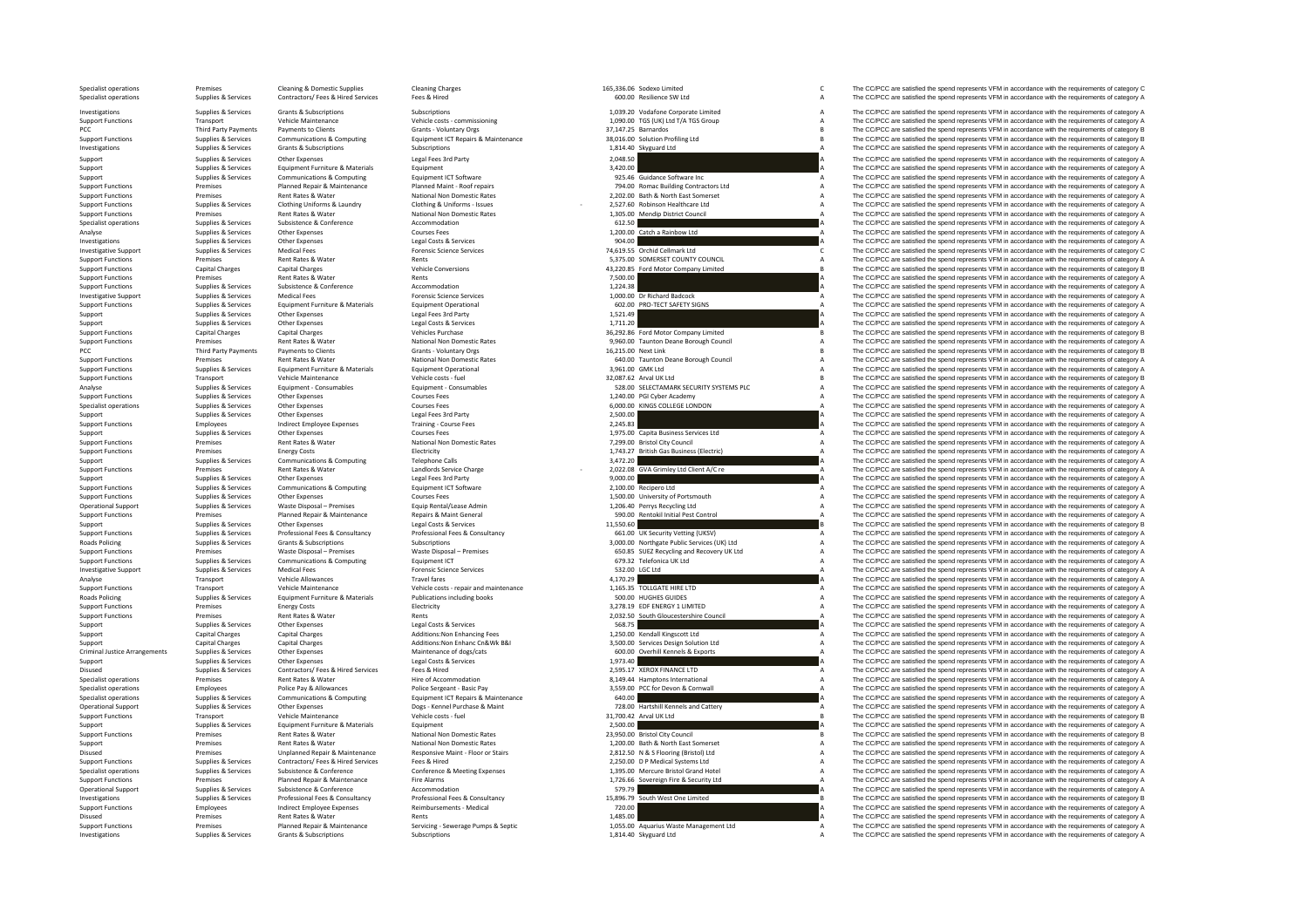| Specialist operations<br>Specialist operations       | Premises<br>Supplies & Services                  | <b>Cleaning &amp; Domestic Supplies</b><br>Contractors/ Fees & Hired Services | <b>Cleaning Charges</b><br>Fees & Hired                          |           | 165.336.06 Sodexo Limited<br>600.00 Resilience SW Ltd                                    | $\mathsf{C}$<br>А | The CC/PCC are satisfied the spend represents VFM in accordance with the requirements of category C<br>The CC/PCC are satisfied the spend represents VFM in accordance with the requirements of category A |
|------------------------------------------------------|--------------------------------------------------|-------------------------------------------------------------------------------|------------------------------------------------------------------|-----------|------------------------------------------------------------------------------------------|-------------------|------------------------------------------------------------------------------------------------------------------------------------------------------------------------------------------------------------|
|                                                      |                                                  |                                                                               |                                                                  |           |                                                                                          |                   |                                                                                                                                                                                                            |
| Investigations                                       | Supplies & Services                              | <b>Grants &amp; Subscriptions</b>                                             | Subscriptions                                                    |           | 1,039.20 Vodafone Corporate Limited                                                      | $\overline{A}$    | The CC/PCC are satisfied the spend represents VFM in accordance with the requirements of category A                                                                                                        |
| <b>Support Functions</b>                             | Transport                                        | Vehicle Maintenance                                                           | Vehicle costs - commissioning                                    |           | 1.090.00 TGS (UK) Ltd T/A TGS Group                                                      | $\overline{A}$    | The CC/PCC are satisfied the spend represents VFM in accordance with the requirements of category A<br>The CC/PCC are satisfied the spend represents VFM in accordance with the requirements of category B |
| PCC<br><b>Support Functions</b>                      | Third Party Payments<br>Supplies & Services      | Payments to Clients<br><b>Communications &amp; Computing</b>                  | Grants - Voluntary Orgs<br>Equipment ICT Repairs & Maintenance   |           | 37,147.25 Barnardos<br>38,016.00 Solution Profiling Ltd                                  | $\mathbf{R}$      | The CC/PCC are satisfied the spend represents VFM in accordance with the requirements of category B                                                                                                        |
| Investigations                                       | Supplies & Services                              | <b>Grants &amp; Subscriptions</b>                                             | Subscriptions                                                    |           | 1,814.40 Skyguard Ltd                                                                    |                   | The CC/PCC are satisfied the spend represents VFM in accordance with the requirements of category A                                                                                                        |
| Support                                              | Supplies & Services                              | Other Expenses                                                                | Legal Fees 3rd Party                                             | 2,048.50  |                                                                                          |                   | The CC/PCC are satisfied the spend represents VFM in accordance with the requirements of category A                                                                                                        |
| Support                                              | Supplies & Services                              | Equipment Furniture & Materials                                               | Equipment                                                        | 3,420.00  |                                                                                          |                   | The CC/PCC are satisfied the spend represents VFM in accordance with the requirements of category A                                                                                                        |
| Support                                              | Supplies & Services                              | Communications & Computing                                                    | Equipment ICT Software                                           |           | 925.46 Guidance Software Inc                                                             |                   | The CC/PCC are satisfied the spend represents VFM in accordance with the requirements of category A                                                                                                        |
| <b>Support Functions</b>                             | Premises                                         | Planned Repair & Maintenance                                                  | Planned Maint - Roof repairs                                     |           | 794.00 Romac Building Contractors Ltd                                                    | $\overline{A}$    | The CC/PCC are satisfied the spend represents VFM in accordance with the requirements of category A                                                                                                        |
| <b>Support Functions</b>                             | Premises                                         | Rent Rates & Water                                                            | National Non Domestic Rates                                      |           | 2,202.00 Bath & North East Somerset                                                      |                   | The CC/PCC are satisfied the spend represents VFM in accordance with the requirements of category A                                                                                                        |
| <b>Support Functions</b>                             | Supplies & Services                              | Clothing Uniforms & Laundry                                                   | Clothing & Uniforms - Issues                                     |           | 2,527.60 Robinson Healthcare Ltd                                                         |                   | The CC/PCC are satisfied the spend represents VFM in accordance with the requirements of category A                                                                                                        |
| <b>Support Functions</b>                             | Premises                                         | Rent Rates & Water                                                            | National Non Domestic Rates                                      |           | 1.305.00 Mendip District Council                                                         |                   | The CC/PCC are satisfied the spend represents VFM in accordance with the requirements of category A                                                                                                        |
| Specialist operations                                | Supplies & Services                              | Subsistence & Conference                                                      | Accommodation                                                    | 612.50    |                                                                                          |                   | The CC/PCC are satisfied the spend represents VFM in accordance with the requirements of category A                                                                                                        |
| Analyse                                              | Supplies & Services                              | Other Expenses<br>Other Expenses                                              | <b>Courses Fees</b>                                              |           | 1,200.00 Catch a Rainbow Ltd                                                             |                   | The CC/PCC are satisfied the spend represents VFM in accordance with the requirements of category A                                                                                                        |
| Investigations<br><b>Investigative Support</b>       | Supplies & Services<br>Supplies & Services       | <b>Medical Fees</b>                                                           | Legal Costs & Services<br><b>Forensic Science Services</b>       | 904.00    | 74,619.55 Orchid Cellmark Ltd                                                            |                   | The CC/PCC are satisfied the spend represents VFM in accordance with the requirements of category A<br>The CC/PCC are satisfied the spend represents VFM in accordance with the requirements of category C |
| <b>Support Functions</b>                             | Premises                                         | Rent Rates & Water                                                            | Rents                                                            |           | 5,375.00 SOMERSET COUNTY COUNCIL                                                         | $\Delta$          | The CC/PCC are satisfied the spend represents VFM in accordance with the requirements of category A                                                                                                        |
| <b>Support Functions</b>                             | <b>Capital Charges</b>                           | Canital Charges                                                               | <b>Vehicle Conversions</b>                                       |           | 43,220.85 Ford Motor Company Limited                                                     |                   | The CC/PCC are satisfied the spend represents VFM in accordance with the requirements of category B                                                                                                        |
| <b>Support Functions</b>                             | Premises                                         | Rent Rates & Water                                                            | Rents                                                            | 7.500.00  |                                                                                          |                   | The CC/PCC are satisfied the spend represents VFM in accordance with the requirements of category A                                                                                                        |
| <b>Support Functions</b>                             | Supplies & Services                              | Subsistence & Conference                                                      | Accommodation                                                    | 1,224.38  |                                                                                          |                   | The CC/PCC are satisfied the spend represents VFM in accordance with the requirements of category A                                                                                                        |
| <b>Investigative Support</b>                         | Supplies & Services                              | Medical Fees                                                                  | <b>Enrensic Science Services</b>                                 |           | 1.000.00 Dr Richard Badcock                                                              |                   | The CC/PCC are satisfied the spend represents VFM in accordance with the requirements of category A                                                                                                        |
| <b>Support Functions</b>                             | Supplies & Services                              | Equipment Furniture & Materials                                               | <b>Equipment Operational</b>                                     |           | 602.00 PRO-TECT SAFETY SIGNS                                                             |                   | The CC/PCC are satisfied the spend represents VFM in accordance with the requirements of category A                                                                                                        |
| Support                                              | Supplies & Services                              | Other Expenses                                                                | Legal Fees 3rd Party                                             | 1,521.49  |                                                                                          |                   | The CC/PCC are satisfied the spend represents VFM in accordance with the requirements of category A                                                                                                        |
| Support                                              | Supplies & Services                              | Other Expenses                                                                | Legal Costs & Services                                           | 1,711.20  |                                                                                          |                   | The CC/PCC are satisfied the spend represents VFM in accordance with the requirements of category A                                                                                                        |
| <b>Support Functions</b>                             | <b>Capital Charges</b>                           | <b>Capital Charges</b>                                                        | Vehicles Purchase                                                |           | 36,292.86 Ford Motor Company Limited                                                     |                   | The CC/PCC are satisfied the spend represents VFM in accordance with the requirements of category B                                                                                                        |
| <b>Support Functions</b><br>PCC.                     | Premises<br><b>Third Party Payments</b>          | Rent Rates & Water<br>Payments to Clients                                     | National Non Domestic Rates<br>Grants - Voluntary Orgs           |           | 9.960.00 Taunton Deane Borough Council<br>16,215.00 Next Link                            |                   | The CC/PCC are satisfied the spend represents VFM in accordance with the requirements of category A<br>The CC/PCC are satisfied the spend represents VFM in accordance with the requirements of category B |
| <b>Support Functions</b>                             | Premises                                         | Rent Rates & Water                                                            | National Non Domestic Rates                                      |           | 640.00 Taunton Deane Borough Council                                                     |                   | The CC/PCC are satisfied the spend represents VFM in accordance with the requirements of category A                                                                                                        |
| <b>Support Functions</b>                             | Supplies & Services                              | Equipment Furniture & Materials                                               | <b>Equipment Operational</b>                                     |           | 3.961.00 GMK Itd                                                                         |                   | The CC/PCC are satisfied the spend represents VFM in accordance with the requirements of category A                                                                                                        |
| <b>Support Functions</b>                             | Transport                                        | Vehicle Maintenance                                                           | Vehicle costs - fuel                                             |           | 32,087.62 Arval UK Ltd                                                                   |                   | The CC/PCC are satisfied the spend represents VFM in accordance with the requirements of category B                                                                                                        |
| Analyse                                              | Supplies & Services                              | Equipment - Consumables                                                       | Equipment - Consumables                                          |           | 528.00 SELECTAMARK SECURITY SYSTEMS PLC                                                  |                   | The CC/PCC are satisfied the spend represents VFM in accordance with the requirements of category A                                                                                                        |
| <b>Support Functions</b>                             | Supplies & Services                              | Other Expenses                                                                | Courses Fees                                                     |           | 1,240.00 PGI Cyber Academy                                                               |                   | The CC/PCC are satisfied the spend represents VFM in accordance with the requirements of category A                                                                                                        |
| Specialist operations                                | Supplies & Services                              | Other Expenses                                                                | <b>Courses Fees</b>                                              |           | 6,000.00 KINGS COLLEGE LONDON                                                            |                   | The CC/PCC are satisfied the spend represents VFM in accordance with the requirements of category A                                                                                                        |
| Support                                              | Supplies & Services                              | Other Expenses                                                                | Legal Fees 3rd Party                                             | 2,500.00  |                                                                                          |                   | The CC/PCC are satisfied the spend represents VFM in accordance with the requirements of category A                                                                                                        |
| <b>Support Functions</b>                             | Employees                                        | Indirect Employee Expenses                                                    | Training - Course Fees                                           | 2,245.83  |                                                                                          |                   | The CC/PCC are satisfied the spend represents VFM in accordance with the requirements of category A                                                                                                        |
| Support                                              | Supplies & Services                              | Other Expenses                                                                | <b>Courses Fees</b>                                              |           | 1,975.00 Capita Business Services Ltd                                                    | $\overline{A}$    | The CC/PCC are satisfied the spend represents VFM in accordance with the requirements of category A                                                                                                        |
| <b>Support Functions</b><br><b>Support Functions</b> | Premises<br>Premises                             | Rent Rates & Water<br><b>Energy Costs</b>                                     | National Non Domestic Rates<br>Electricity                       |           | 7,299.00 Bristol City Council<br>1,743.27 British Gas Business (Electric)                | $\overline{A}$    | The CC/PCC are satisfied the spend represents VFM in accordance with the requirements of category A<br>The CC/PCC are satisfied the spend represents VFM in accordance with the requirements of category A |
| Support                                              | Supplies & Services                              | Communications & Computing                                                    | <b>Telephone Calls</b>                                           | 3,472.20  |                                                                                          |                   | The CC/PCC are satisfied the spend represents VFM in accordance with the requirements of category A                                                                                                        |
| <b>Support Functions</b>                             | Premises                                         | Rent Rates & Water                                                            | Landlords Service Charge                                         |           | 2,022.08 GVA Grimley Ltd Client A/C re                                                   |                   | The CC/PCC are satisfied the spend represents VFM in accordance with the requirements of category A                                                                                                        |
| Support                                              | Supplies & Services                              | Other Expenses                                                                | Legal Fees 3rd Party                                             | 9,000.00  |                                                                                          |                   | The CC/PCC are satisfied the spend represents VFM in accordance with the requirements of category A                                                                                                        |
| <b>Support Functions</b>                             | Supplies & Services                              | Communications & Computing                                                    | Equipment ICT Software                                           |           | 2,100.00 Recipero Ltd                                                                    |                   | The CC/PCC are satisfied the spend represents VFM in accordance with the requirements of category A                                                                                                        |
| <b>Support Functions</b>                             | Supplies & Services                              | Other Expenses                                                                | Courses Fees                                                     |           | 1,500.00 University of Portsmouth                                                        | $\mathsf{A}$      | The CC/PCC are satisfied the spend represents VFM in accordance with the requirements of category A                                                                                                        |
| <b>Operational Support</b>                           | Supplies & Services                              | Waste Disposal - Premises                                                     | Equip Rental/Lease Admin                                         |           | 1,206.40 Perrys Recycling Ltd                                                            |                   | The CC/PCC are satisfied the spend represents VFM in accordance with the requirements of category A                                                                                                        |
| <b>Support Functions</b>                             | Premises                                         | Planned Repair & Maintenance                                                  | Repairs & Maint General                                          |           | 590.00 Rentokil Initial Pest Control                                                     |                   | The CC/PCC are satisfied the spend represents VFM in accordance with the requirements of category A                                                                                                        |
| Support                                              | Supplies & Services                              | Other Expenses                                                                | Legal Costs & Services                                           | 11,550.60 |                                                                                          |                   | The CC/PCC are satisfied the spend represents VFM in accordance with the requirements of category B                                                                                                        |
| <b>Support Functions</b>                             | Supplies & Services                              | Professional Fees & Consultancy                                               | Professional Fees & Consultancy                                  |           | 661.00 UK Security Vetting (UKSV)                                                        |                   | The CC/PCC are satisfied the spend represents VFM in accordance with the requirements of category A                                                                                                        |
| Roads Policing<br><b>Support Functions</b>           | Supplies & Services<br>Premises                  | <b>Grants &amp; Subscriptions</b><br>Waste Disposal - Premises                | Subscriptions<br>Waste Disposal - Premises                       |           | 3,000.00 Northgate Public Services (UK) Ltd<br>650.85 SUEZ Recycling and Recovery UK Ltd | $\overline{A}$    | The CC/PCC are satisfied the spend represents VFM in accordance with the requirements of category A<br>The CC/PCC are satisfied the spend represents VFM in accordance with the requirements of category A |
| <b>Support Functions</b>                             | Supplies & Services                              | Communications & Computing                                                    | Equipment ICT                                                    |           | 679.32 Telefonica UK Ltd                                                                 |                   | The CC/PCC are satisfied the spend represents VFM in accordance with the requirements of category A                                                                                                        |
| <b>Investigative Support</b>                         | Supplies & Services                              | <b>Medical Fees</b>                                                           | <b>Forensic Science Services</b>                                 |           | 532.00 LGC Ltd                                                                           |                   | The CC/PCC are satisfied the spend represents VFM in accordance with the requirements of category A                                                                                                        |
| Analyse                                              | Transport                                        | Vehicle Allowances                                                            | <b>Travel fares</b>                                              | 4.170.29  |                                                                                          |                   | The CC/PCC are satisfied the spend represents VFM in accordance with the requirements of category A                                                                                                        |
| <b>Support Functions</b>                             | Transport                                        | Vehicle Maintenance                                                           | Vehicle costs - repair and maintenance                           |           | 1,165.35 TOLLGATE HIRE LTD                                                               |                   | The CC/PCC are satisfied the spend represents VFM in accordance with the requirements of category A                                                                                                        |
| Roads Policing                                       | Supplies & Services                              | <b>Equipment Furniture &amp; Materials</b>                                    | Publications including books                                     |           | 500.00 HUGHES GUIDES                                                                     |                   | The CC/PCC are satisfied the spend represents VFM in accordance with the requirements of category A                                                                                                        |
| <b>Support Functions</b>                             | Premises                                         | <b>Energy Costs</b>                                                           | Electricity                                                      |           | 3,278.19 EDF ENERGY 1 LIMITED                                                            |                   | The CC/PCC are satisfied the spend represents VFM in accordance with the requirements of category A                                                                                                        |
| <b>Support Functions</b>                             | Premises                                         | Rent Rates & Water                                                            | Rents                                                            |           | 2,032.50 South Gloucestershire Council                                                   |                   | The CC/PCC are satisfied the spend represents VFM in accordance with the requirements of category A                                                                                                        |
| Support                                              | Supplies & Services                              | Other Expenses                                                                | Legal Costs & Services                                           | 568.75    |                                                                                          |                   | The CC/PCC are satisfied the spend represents VFM in accordance with the requirements of category A                                                                                                        |
| Support                                              | <b>Capital Charges</b><br><b>Capital Charges</b> | <b>Capital Charges</b><br><b>Capital Charges</b>                              | Additions: Non Enhancing Fees<br>Additions: Non Enhanc Cn&Wk B&I |           | 1,250.00 Kendall Kingscott Ltd                                                           |                   | The CC/PCC are satisfied the spend represents VFM in accordance with the requirements of category A<br>The CC/PCC are satisfied the spend represents VFM in accordance with the requirements of category A |
| Support<br><b>Criminal Justice Arrangements</b>      | Supplies & Services                              | Other Expenses                                                                | Maintenance of dogs/cats                                         |           | 3,500.00 Services Design Solution Ltd<br>600.00 Overhill Kennels & Exports               |                   | The CC/PCC are satisfied the spend represents VFM in accordance with the requirements of category A                                                                                                        |
| Support                                              | Supplies & Services                              | Other Expenses                                                                | Legal Costs & Services                                           | 1,973.40  |                                                                                          |                   | The CC/PCC are satisfied the spend represents VFM in accordance with the requirements of category A                                                                                                        |
| Disused                                              | Supplies & Services                              | Contractors/ Fees & Hired Services                                            | Fees & Hired                                                     |           | 2,595.17 XEROX FINANCE LTD                                                               |                   | The CC/PCC are satisfied the spend represents VFM in accordance with the requirements of category A                                                                                                        |
| Specialist operations                                | Premises                                         | Rent Rates & Water                                                            | Hire of Accommodation                                            |           | 8.149.44 Hamptons International                                                          |                   | The CC/PCC are satisfied the spend represents VFM in accordance with the requirements of category A                                                                                                        |
| Specialist operations                                | Employees                                        | Police Pay & Allowances                                                       | Police Sergeant - Basic Pay                                      |           | 3,559.00 PCC for Devon & Cornwall                                                        |                   | The CC/PCC are satisfied the spend represents VFM in accordance with the requirements of category A                                                                                                        |
| Specialist operations                                | Supplies & Services                              | <b>Communications &amp; Computing</b>                                         | Equipment ICT Repairs & Maintenance                              | 640.00    |                                                                                          |                   | The CC/PCC are satisfied the spend represents VFM in accordance with the requirements of category A                                                                                                        |
| <b>Operational Support</b>                           | Supplies & Services                              | Other Expenses                                                                | Dogs - Kennel Purchase & Maint                                   |           | 728.00 Hartshill Kennels and Cattery                                                     |                   | The CC/PCC are satisfied the spend represents VFM in accordance with the requirements of category A                                                                                                        |
| <b>Support Functions</b>                             | Transport                                        | Vehicle Maintenance                                                           | Vehicle costs - fuel                                             |           | 31,700.42 Arval UK Ltd                                                                   |                   | The CC/PCC are satisfied the spend represents VFM in accordance with the requirements of category B                                                                                                        |
| Support                                              | Supplies & Services<br>Premises                  | Equipment Furniture & Materials<br><b>Rent Rates &amp; Water</b>              | Equipment                                                        | 2,500.00  |                                                                                          |                   | The CC/PCC are satisfied the spend represents VFM in accordance with the requirements of category A<br>The CC/PCC are satisfied the spend represents VFM in accordance with the requirements of category B |
| <b>Support Functions</b><br>Support                  | Premises                                         | Rent Rates & Water                                                            | National Non Domestic Rates<br>National Non Domestic Rates       |           | 23,950.00 Bristol City Council<br>1,200.00 Bath & North East Somerset                    |                   | The CC/PCC are satisfied the spend represents VFM in accordance with the requirements of category A                                                                                                        |
| Disused                                              | Premises                                         | <b>Unplanned Repair &amp; Maintenance</b>                                     | Responsive Maint - Floor or Stairs                               |           | 2.812.50 N & S Flooring (Bristol) Ltd                                                    |                   | The CC/PCC are satisfied the spend represents VFM in accordance with the requirements of category A                                                                                                        |
| <b>Support Functions</b>                             | Supplies & Services                              | Contractors/ Fees & Hired Services                                            | Fees & Hired                                                     |           | 2.250.00 D P Medical Systems Ltd.                                                        |                   | The CC/PCC are satisfied the spend represents VFM in accordance with the requirements of category A                                                                                                        |
| Specialist operations                                | Supplies & Services                              | Subsistence & Conference                                                      | Conference & Meeting Expenses                                    |           | 1,395.00 Mercure Bristol Grand Hotel                                                     |                   | The CC/PCC are satisfied the spend represents VFM in accordance with the requirements of category A                                                                                                        |
| <b>Support Functions</b>                             | Premises                                         | Planned Repair & Maintenance                                                  | <b>Fire Alarms</b>                                               |           | 1,726.66 Sovereign Fire & Security Ltd                                                   |                   | The CC/PCC are satisfied the spend represents VFM in accordance with the requirements of category A                                                                                                        |
| Operational Support                                  | Supplies & Services                              | Subsistence & Conference                                                      | Accommodation                                                    | 579.79    |                                                                                          |                   | The CC/PCC are satisfied the spend represents VFM in accordance with the requirements of category A                                                                                                        |
| Investigations                                       | Supplies & Services                              | Professional Fees & Consultancy                                               | Professional Fees & Consultancy                                  |           | 15,896.79 South West One Limited                                                         |                   | The CC/PCC are satisfied the spend represents VFM in accordance with the requirements of category B                                                                                                        |
| <b>Support Functions</b>                             | Employees                                        | Indirect Employee Expenses                                                    | Reimbursements - Medical                                         | 720.00    |                                                                                          |                   | The CC/PCC are satisfied the spend represents VFM in accordance with the requirements of category A                                                                                                        |
| Disused                                              | Premises<br>Premises                             | Rent Rates & Water                                                            | Rents                                                            | 1,485.00  | 1,055.00 Aquarius Waste Management Ltd                                                   |                   | The CC/PCC are satisfied the spend represents VFM in accordance with the requirements of category A                                                                                                        |
| <b>Support Functions</b>                             |                                                  | Planned Repair & Maintenance                                                  | Servicing - Sewerage Pumps & Septic                              |           |                                                                                          |                   | The CC/PCC are satisfied the spend represents VFM in accordance with the requirements of category A                                                                                                        |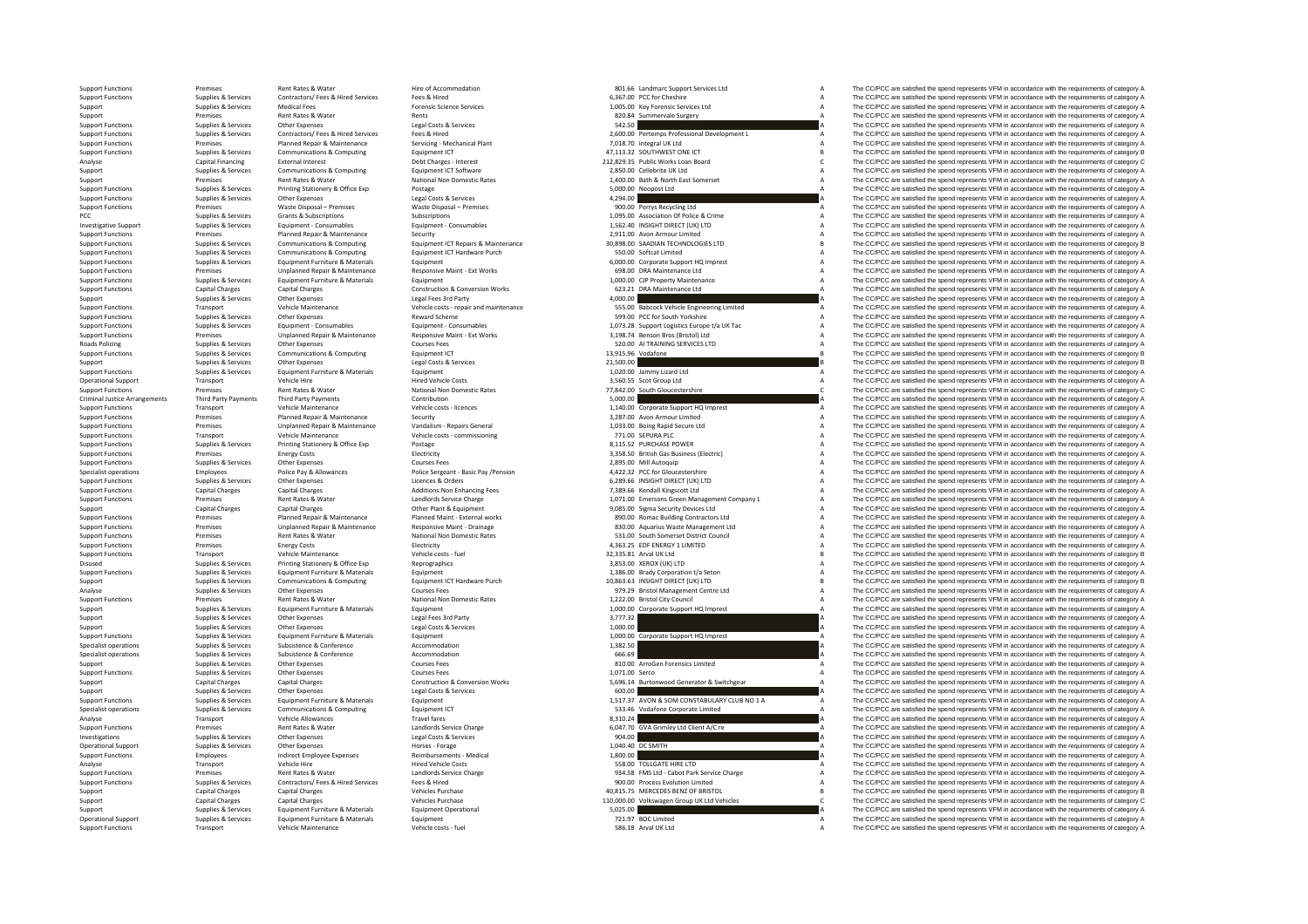Roads Policing Criminal Justice

Support Functions Supplies & Services Equipment Furniture & Materials Equipment Equipment

|                | 6,367.00 PCC for Cheshire                                    |
|----------------|--------------------------------------------------------------|
|                | 1,005.00 Key Forensic Services Ltd                           |
| 820.84         | Summervale Surgery                                           |
| 542.50         |                                                              |
|                | 2,600.00 Pertemps Professional Development L                 |
|                | 7,018.70 Integral UK Ltd                                     |
|                | 47,113.32 SOUTHWEST ONE ICT                                  |
|                | 212,829.35 Public Works Loan Board                           |
|                | 2,850.00 Cellebrite UK Ltd                                   |
|                | 1,400.00 Bath & North East Somerset                          |
| 5,000.00       | Neopost Ltd                                                  |
| 4,294.00       |                                                              |
|                | 900.00 Perrys Recycling Ltd                                  |
|                | 1,095.00 Association Of Police & Crime                       |
|                | 1,562.40 INSIGHT DIRECT (UK) LTD                             |
|                | 2,911.00 Avon Armour Limited                                 |
|                |                                                              |
|                | 30,898.00 SAADIAN TECHNOLOGIES LTD<br>550.00 Softcat Limited |
|                | 6,000.00 Corporate Support HQ Imprest                        |
|                | 698.00 DRA Maintenance Ltd                                   |
|                | 1,000.00 CJP Property Maintenance                            |
|                | 623.21 DRA Maintenance Ltd                                   |
| 4,000.00       |                                                              |
|                | 555.00 Babcock Vehicle Engineering Limited                   |
|                | 599.00 PCC for South Yorkshire                               |
|                | 1,073.28 Support Logistics Europe t/a UK Tac                 |
|                | 3,198.74 Benson Bros (Bristol) Ltd                           |
|                | 520.00 AI TRAINING SERVICES LTD                              |
|                | 13,915.96 Vodafone                                           |
| 21,500.00      |                                                              |
|                | 1,020.00 Jammy Lizard Ltd                                    |
|                | 3,560.55 Scot Group Ltd                                      |
|                | 77,842.00 South Gloucestershire                              |
| 5,000.00       |                                                              |
|                | 1,140.00 Corporate Support HQ Imprest                        |
|                | 3,287.00 Avon Armour Limited                                 |
|                | 1,033.00 Boing Rapid Secure Ltd                              |
|                | 771.00 SEPURA PLC                                            |
|                | 8,115.52 PURCHASE POWER                                      |
|                | 3,358.50 British Gas Business (Electric)                     |
|                | 2,895.00 Mill Autoquip                                       |
|                |                                                              |
|                | 4,422.32 PCC for Gloucestershire                             |
|                | 6,289.66 INSIGHT DIRECT (UK) LTD                             |
|                | 7,389.66 Kendall Kingscott Ltd                               |
|                | 1,071.00 Emersons Green Management Company L                 |
|                | 9,085.00 Sigma Security Devices Ltd                          |
|                | 890.00 Romac Building Contractors Ltd                        |
|                | 830.00 Aquarius Waste Management Ltd                         |
|                | 531.00 South Somerset District Council                       |
|                | 4,363.25 EDF ENERGY 1 LIMITED                                |
|                | 32,335.81 Arval UK Ltd                                       |
|                | 3,853.00 XEROX (UK) LTD                                      |
|                | 1,386.00 Brady Corporation t/a Seton                         |
|                | 10,863.63 INSIGHT DIRECT (UK) LTD                            |
|                | 979.29 Bristol Management Centre Ltd                         |
|                | 1,222.00 Bristol City Council                                |
|                | 1,000.00 Corporate Support HQ Imprest                        |
| 3,777.32       |                                                              |
| 1.000.00       |                                                              |
|                | 1,000.00 Corporate Support HQ Imprest                        |
| 1,382.50       |                                                              |
| 666.69         |                                                              |
|                | 810.00 ArroGen Forensics Limited                             |
| 1,071.00 Serco |                                                              |
| 5.696.14       | Burtonwood Generator & Switchgear                            |
| 600.00         |                                                              |
| 1,517.37       | AVON & SOM CONSTABULARY CLUB NO 1 A                          |
|                | 533.46 Vodafone Corporate Limited                            |
| 8,310.24       |                                                              |
|                | 6,047.70 GVA Grimley Ltd Client A/C re                       |
| 904.00         |                                                              |
| 1,040.40       | <b>DC SMITH</b>                                              |
| 1,800.00       |                                                              |
|                | 558.00 TOLLGATE HIRE LTD                                     |
|                | 934.58 FMS Ltd - Cabot Park Service Charge                   |
|                | 900.00 Process Evolution Limited                             |
|                | 40,815.75 MERCEDES BENZ OF BRISTOL                           |
| 110,000.00     | Volkswagen Group UK Ltd Vehicles                             |
| 5,025.00       | 721.97 BOC Limited                                           |

Support Functions Premises Rent Rates & Water Hire of Accommodation Hire of Accommodation 801.66 Landmarc Support Services Ltd A The CC/PCC are satisfied the spend represents VFM in accordance with the requirements of cate Supplies & Services Contractors/ Fees & Hired Services Fees & Hired Functions Support Functions Contractors Fees A The COPCC are satisfied the spend represents VFM in accordance with the requirements of category A Supplies Supplies Applies Support Support Support Support Support Support Support Support Support Support Support Suppo<br>A The CC/PCC are satisfied the spend represents VFM in accordance with the requirements of category A The CC/PC Support Premises Rent Rates & Water Rents Rents Rents Rents Rents Rents Rents Rents Rents Rents Rents Rents Rents 820.84 Summervale Surgery A The CC/PCC are satisfied the spend represents VFM in accordance with the require Support Functions Services Other Expenses Legal Costs & Services 542.50 A The CC/PCC are satisfied the spend represents VFM in accordance with the requirements of category A The CC/PCC are satisfied the spend represents VF Noting the main of the contractory of the contractory of the contractory of the contractory of the contractory of the contractory of the contractory of the contractory of the contractory of the contractory of the contracto Support Functions Premises Planned Repair & Maintenance Servicing – Mechanical Plant 7,018.70 Integral UK Ltd A The CC/PCC are satisfied the spend represents VFM in accordance with the requirements of category A Support Functions Support Computing Support Functions Computing Computing Equipment ICT 47,112.32 SOUTHWEST ONE ICT B The CC/PCC are satisfied the spend represents VFM in accordance with the requirements of category B Analyse Capital Financing External Interest Construction – Interest Debt Charges – Interest 2002, Public Works Loan Board C The CC/PCC are satisfied the spend represents VFM in accordance with the requirements of category Support Supplies & Services Communications & Computing Faultoment ICT Software 2,850.00 Cellebrite UK Ltd A The CC/PCC are satisfied the spend represents VFM in accordance with the requirements of category A Support Premises Rent Rates & Water National Non Domestic Rates National Non Domestic Rates 1,400.00 Bath & North East Somerset A The CC/PCC are satisfied the spend represents VFM in accordance with the requirements of cat Support Functions Supplies & Services Printing Stationery & Office Exp Postage Protage Printing Stationery & Office Exp Postage Protage Protage Protage Protage Protage Protage Protage Protage Protage Protage Protection and Supplies & Services Other Expenses Legal Costs & Services Legal Costs & Services Legal Costs & Services Legal Costs & Services 4,294.00 A The CC/PCC are satisfied the spend represents VFM in accordance with the requirement Premises Waste Disposal – Premises Waste Disposal – Premises Waste Disposal – Premises 900.00 Perrys Recycling Ltd A The CC/PCC are satisfied the spend represents VFM in accordance with the requirements of category A Suppo PCC Supplies & Subscriptions Subscriptions Subscriptions Subscriptions Subscriptions Subscriptions Subscriptions Subscriptions Subscriptions Subscriptions Subscriptions Subscriptions Subscriptions Subscriptions Subscriptio Investigative Support Supplies & Services Equipment ← Consumables Equipment ← Consumables Equipment ← Consumables Equipment ← Consumables Equipment ← Consumables Equipment ← Consumables Installation of the SUPCC are satis Planned Repair & Maintenance Security Security 2,911.00 Avon Armour Limited A The CC/PCC are satisfied the spend represents VFM in accordance with the requirements of category A Supplies & Services Communications & Computing Equipment LCT Repairs & Maintenance 30,898.00 SAADIAN TECHNOLOGIES LTD B The CC/PCC are satisfied the spend represents VFM in accordance with the requirements of category B ca Support Functions Supplies & Services Communications & Computing Equipment ICT Hardware Purch 550.00 Softcat Limited A The CC/PCC are satisfied the spend represents VFM in accordance with the requirements of category A Sup Support Functions Supplies & Services Equipment Furniture & Materials Equipment A The CC-PCC are support HQ Imprest A The CC/PCC are satisfied the spend represents VFM in accordance with the requirements of category A Supp Support Functions Premises Premises Unplanned Repair & Maintenance Responsive Maint - Ext Works 698.00 DRA Maintenance 1d A The CC/PCC are satisfied the spend represents VFM in accordance with the requirements of category Support Functions Supplies & Services Equipment Furniture & Materials Equipment Equipment 1,000.00 CJP Property Maintenance A The CC/PCC are satisfied the spend represents VFM in accordance with the requirements of categor Support Function & Conversion Works 623.21 DRA Maintenance Ltd A The CC/PCC are satisfied the spend represents VFM in accordance with the requirements of category A The CC/PCC are satisfied the spend represents VFM in acco Support Support Support Support Support Support Support Support Support Support Support Support Support Support Support Support Support Support Support Support Support Support Support Support Support Support Support Suppor of the management of the Manufath Control of the Manufath Control of the Control of the Manufath Control of the Control of the Control of the Control of the Control of the Control of the Control of the Control of the Contr Support Functions Supplies & Services Other Expenses Reward Scheme Reward Scheme 599.00 PCC for South Yorkshire A The CC/PCC are satisfied the spend represents VFM in accordance with the requirements of category A Support of the state of the state of the state of the state of the state of the state of the state of the state of the state of the state of the state of the state of the state of the state of the state of the state of the state o Premises Unplanned Repair & Maintenance Responsive Maint - Ext Works 3,198.74 Benson Bros (Bristol) Ltd A The CC/PCC are satisfied the spend represents VFM in accordance with the requirements of category A S20.00 A TRAINI Policing Supplies & Services Other Expenses Courses Fees Courses Fees Courses Fees Fees 520.00 AI TRAINING SERVICES LTD A The CC/PCC are satisfied the spend represents VFM in accordance with the requirements of category A Supplies & Services Communications & Computing Equipment ICT Equipment ICT 13,915.96 Vodafone 13,915.96 Vodafone B The CC/PCC are satisfied the spend represents VFM in accordance with the requirements of category B Vapplie Supplies & Supplies Costs Content Category Costs Associates 21,500.00 B The CC/PCC are satisfied the spend represents VFM in accordance with the requirements of category B The CODO in a service of category B The COPC are s Support Eugenias Support Functions Support Functions of category A The CC/PCC are satisfied the spend represents VFM in accordance with the requirements of category A The CC/PCC are satisfied the spend represents VFM in ac Operational Support Transport Vehicle Hire Hire Hired Vehicle Costs 3,560.55 Scot Group Ltd A The CC/PCC are satisfied the spend represents VFM in accordance with the requirements of category A The CC/PCC are satisfied the Support Functions and Rent Rates Rent Rates Rent Rates Rent Rates and Controllers Rent Rates Rent Rates and Controllershire C The CC/PCC are satisfied the spend represents of category C The CC/PCC are satisfied the spend r Third Party Payments Third Party Payments Contribution Contribution Contribution Contribution Contribution Contribution 5,000.00 A The CC/PCC are satisfied the spend represents VFM in accordance with the requirements of ca Support Functions Transport Vehicle Maintenance Vehicle costs ‐ licences Vehicle costs ‐ licences Vehicle costs ‐ licences Vehicle costs ‐ licences 1,140.00 Corporate Support HQ Imprest A The CC/PCC are satisfied the spend Support Functions Premises Planned Repair & Maintenance Security Security Security 3,287.00 Avon Armour Limited A The CC/PCC are satisfied the spend represents VFM in accordance with the requirements of category A Support Support Functions Premises Unplanned Repair & Maintenance Vandalism ‐ Repairs General 1,033.00 Boing Rapid Secure Ltd A The CC/PCC are satisfied the spend represents VFM in accordance with the requirements of category A Th Support Functions Transport Vehicle Maintenance Vehicle costs ‐ commissioning 771.00 SEPURA PLC A The CC/PCC are satisfied the spend represents VFM in accordance with the requirements of category A Support Functions Supplies & Services Printing Stationery & Office Exp Postage 8,115.52 PURCHASE POWER A The CC/PCC are satisfied the spend represents VFM in accordance with the requirements of category A The CC/PCC are sa Support Functions Premises Premises And Energy Costs and Electricity and Electricity and a Support Electricity 3,358.50 British Gas Business (Electricity A The CC/PCC are satisfied the spend represents VFM in accordance wi Support Functions Supplies & Services Courses Courses Courses Courses Courses Courses Courses Courses Courses<br>
2,895.00 Mill Autoquip A The CC/PCC are satisfied the spend represents VFM in accordance with the requirements Employees Police Pay & Allowances Police Sergeant - Basic Pay /Pension Manuscript And And And And And And And And The CCPCC are satisfied the spend represents VFM in accordance with the requirements of category A Support Functions Supplies & Services Other Expenses Category Additions:Non Enhancing Fees Corders 6,289.66 INSIGHT DIRECT (UK) LTD A The CC/PCC are satisfied the spend represents VFM in accordance with the requirements of Support Functions Capital Charges Capital Charges Capital Charges Additions:Non Enhancing Fees 7,389.66 Kendall Kingscott Ltd A The CC/PCC are satisfied the spend represents VFM in accordance with the requirements of categ Support Functions Premises Rent Rates & Water Landlords Category Analogue Charge 1,071.00 Emersons Green Management Company L A The CC/PCC are satisfied the spend represents VFM in accordance with the requirements of categ Support Capital Charges Capital Charges Capital Charges Other Plant & Equipment Plant & Equipment 9,085.00 Sigma Security Devices Ltd A The CC/PCC are satisfied the spend represents VFM in accordance with the requirements of the man of the man of the man of the man of the man of the man of the man of the man of the man of the man of the man of the man of the man of the man of the man of the man of the man of the man of the man of the man of The CC/PCC are satisfied the spend represents VFM in accordance with the requirements of category A Support Functions Premises Rent Rates & Water National Non Domestic Rates 531.00 South Somerset District Council A The CC/PCC are satisfied the spend represents VFM in accordance with the requirements of category A Support Functions Premises Energy Costs Energy Costs Energy Costs Energy Costs Energy Costs Energy Costs Energy Costs Energy Costs Energy Costs Energy Costs Energy Costs Energy Costs Energy Costs Energy A The CC/PCC are sa Support Transport Vehicle Maintenance Wehicle costs -fuel Vehicle costs -fuel Support Costs Fuel 32,335.81 Arval UK Ltd B The CC/PCC are satisfied the spend represents VFM in accordance with the requirements of category B Disused Supplies & Supplies & Services Printing Stationery & Office Exp Reprographics and Reprographics 3,853.00 XEROX (UK) LTD A The CC/PCC are satisfied the spend represents VFM in accordance with the requirements of cat Support Functions Supplies & Services Equipment Functions & Corporation of Equipment Equipment 1,386.00 Brady Corporation t/a Seton A The CC/PCC are satisfied the spend represents VFM in accordance with the requirements of Support Supplies & Services Communications & Computing Equipment ICT Hardware Purch 10,863.63 INSIGHT DIRECT (UK) LTD B The CC/PCC are satisfied the spend represents VFM in accordance with the requirements of category B Co The CC/PCC are satisfied the spend represents VFM in accordance with the requirements of category A Support Functions Premises Rent Rates Rent Rates Rent Rates Rent Rates 1,222.00 British Council City Council City Council A The CC/PCC are satisfied the spend represents VFM in accordance with the requirements of category Support Support Support Support Support Furniture & Materials Equipment A The COPC are satisfied the spend represents VFM in accordance with the requirements of category A The CCPC are satisfied the spend represents VFM in Support Supplies & Services Other Expenses Legal Fees 3rd Party Legal Fees 3rd Party 3,777.32 A The CC/PCC are satisfied the spend represents VFM in accordance with the requirements of category A The CC/PCC are satisfied t Support Supplies & Services Other Expenses Legal Costs & Services Legal Costs & Services Legal Costs & Services Legal Costs & Services 1,000.00 Corporate Support Dimorest A The CC/PCC are satisfied the spend represents VFM Support Functions Supplies & Services Equipment Furniture & Materials Equipment 1,000.00 Corporate Support HQ Imprest A The CC/PCC are satisfied the spend represents VFM in accordance with the requirements of category A Su Supplies & Services Subsistence Subsistence Conference Accommodation Accommodation 1,382.50 A The CC/PCC are satisfied the spend represents VFM in accordance with the requirements of category A<br>Supplies & Services Subsiste Specialist operations Supplies & Services Subsistence & Conference Accommodation A CONFORT CONFORT CONFORT CONFORT A The CC/PCC are satisfied the spend represents VFM in accordance with the requirements of category A Support Supplies Accordance Other Expenses Support Support Support Support Support Courses Fees 810.00 ArroGen Forensics Limited A The CC/PCC are satisfied the spend represents VFM in accordance with the requirements of ca Supplies & Services Other Expenses Courses Fees Courses Fees Courses Fees Courses Fees Courses Fees Courses Fees Courses Fees Courses Courses Fees Courses Courses Courses I,071.00 Serco A The CC/PCC are satisfied the spend Support Capital Charges Capital Charges Capital Charges Construction & Conversion Works 5,696.14 Burtonwood Generator & Switchgear A The CC/PCC are satisfied the spend represents VFM in accordance with the requirements of Supplies & Services Other Expenses Legal Costs & Services A Legal Costs & Services Costs A Costs & Services Costs A Costs A Costs A Costs A Costs A Costs A Costs A Costs A Costs A Costs A Costs A Costs A Costs A Costs A Co The CC/PCC are satisfied the spend represents VFM in accordance with the requirements of category A Specialist operations Supplies & Services Communications & Computing Equipment ICT 533.46 Vodafone Corporate Limited A The CC/PCC are satisfied the spend represents VFM in accordance with the requirements of category A Analyse Transport Vehicle Allowances Travel fares Travel fares and the Same of the Section of the spend represents of the spend represents of the represents of category A The C/PCC are satisfied the spend represents VFM in Support Functions Premises Rent Rates & Water Mater Landlords Service Charge Charge 6,047.70 GVA Grimley Ltd Client A/C re A The CC/PCC are satisfied the spend represents VFM in accordance with the requirements of category Investigations Supplies & Services Other Expenses Legal Costs & Services Costs Agrees Costs Agrees Legal Costs & Services Costs Agrees Costs Agrees Costs Agrees Costs Agrees Costs Agrees Legal Costs & Services Agrees Agree Operational Support Supplies & Services Other Expenses Morses Forage Horses Forage Horses Forage Horses Forage 1,040.40 DC SMITH A The CC/PCC are satisfied the spend represents VFM in accordance with the requirements of ca Employees Indirect Employee Expenses Reimbursements ‐ Medical 1,800.00 A The CC/PCC are satisfied the spend represents VFM in accordance with the requirements of category A<br>Transport Vehicle Hire Present of Category A Hir Analyse Transport Vehicle Hire Vehicle Hire Hired Vehicle Costs Hired Vehicle Costs Fired Vehicle Costs Fired Vehicle Costs and the SS8.00 TOLLGATE HIRE LTD A The CC/PCC are satisfied the spend represents VFM in accordance Support Functions Premises Premises Rent Rates & Water Landlords Service Charge Charge 934.58 FMS Ltd - Cabot Park Service Charge A The CC/PCC are satisfied the spend represents VFM in accordance with the requirements of c Support Functions Supplies & Services Contractors/ Fees & Hired Fees & Hired Services Fees & Hired 900.00 Process Evolution Limited A The CC/PCC are satisfied the spend represents VFM in accordance with the requirements of Support Capital Charges Capital Charges Vehicles Purchase Vehicles Purchase 40,815.75 MERCEDES BENZ OF BRISTOL B RISTOL B The CC/PCC are satisfied the spend represents VFM in accordance with the requirements of category C<br> Support Capital Charges Capital Charges Vehicles Purchase Vehicles Purchase Vehicles Computer 2010 and the COPCC are satisfied the spend represents VFM in accordance with the requirements of category C Vehicles C Support C Support Supplies & Services Equipment Furniture & Materials Equipment Operational Equipment Correctional Equipment Correctional 5,025.00 Currectional Support A The CC/PCC are satisfied the spend represents VFM in accordanc Operational Support Supplies & Services Equipment Furniture & Materials Equipment Purniture & Materials Equipment Furniture & Materials Equipment A The CC/PCC are satisfied the spend represents VFM in accordance with the r SB6.18 Arval UK Ltd **A** The CC/PCC are satisfied the spend represents VFM in accordance with the requirements of category A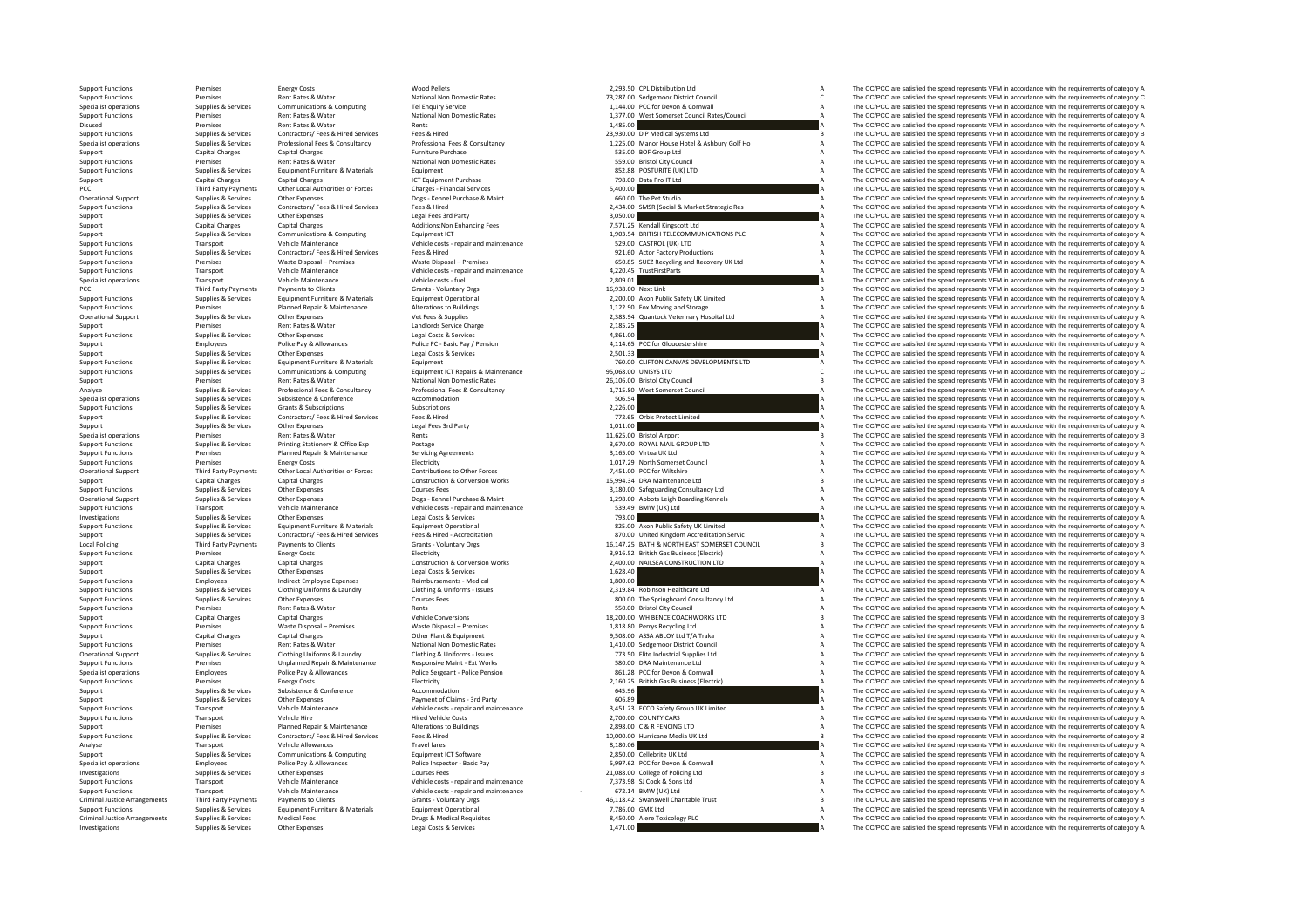Disused Premise PCC Third Party Payments Local Policing<br>Support Function Criminal JusticeCriminal Justice

 Rates &Third Party Payments Support Functions Transport Vehicle Maintenance<br>
Investigations Support Support Support Chine Expenses Chine Expenses<br>
Support Legal Costs & Services Services Other Expenses

|                     | 2,293.50 CPL Distribution Ltd                                             | Α            |
|---------------------|---------------------------------------------------------------------------|--------------|
|                     | 73,287.00 Sedgemoor District Council                                      | $\mathsf{C}$ |
|                     | 1,144.00 PCC for Devon & Cornwall                                         | A            |
| 1,377.00            | West Somerset Council Rates/Council                                       | A            |
| 1,485.00            |                                                                           | A            |
|                     | 23,930.00 D P Medical Systems Ltd                                         | B            |
|                     | 1,225.00 Manor House Hotel & Ashbury Golf Ho                              | A            |
|                     | 535.00 BOF Group Ltd                                                      | A            |
|                     | 559.00 Bristol City Council                                               | A            |
|                     | 852.88 POSTURITE (UK) LTD                                                 | A            |
| 798.00              | Data Pro IT Ltd                                                           | A            |
| 5,400.00            |                                                                           | I۵           |
|                     | 660.00 The Pet Studio                                                     | A            |
|                     | 2,434.00 SMSR (Social & Market Strategic Res                              | A            |
| 3,050.00            |                                                                           | I۵           |
|                     | 7,571.25 Kendall Kingscott Ltd<br>1,903.54 BRITISH TELECOMMUNICATIONS PLC | A            |
|                     |                                                                           | A            |
|                     | 529.00 CASTROL (UK) LTD                                                   | A            |
|                     | 921.60 Actor Factory Productions                                          | A            |
|                     | 650.85 SUEZ Recycling and Recovery UK Ltd                                 | A            |
|                     | 4,220.45 TrustFirstParts                                                  | A            |
| 2,809.01            |                                                                           | ۱A           |
| 16,938.00 Next Link |                                                                           | B            |
|                     | 2,200.00 Axon Public Safety UK Limited                                    | A            |
|                     | 1,122.90 Fox Moving and Storage                                           | A            |
|                     | 2,383.94 Quantock Veterinary Hospital Ltd                                 | A            |
| 2,185.25            |                                                                           | A            |
| 4,861.00            |                                                                           | A            |
| 4,114.65            | PCC for Gloucestershire                                                   | A            |
| 2,501.33            |                                                                           | A            |
|                     | 760.00 CLIFTON CANVAS DEVELOPMENTS LTD                                    | A            |
|                     | 95,068.00 UNISYS LTD                                                      | Ċ            |
|                     | 26,106.00 Bristol City Council                                            | B            |
|                     | 1,715.80 West Somerset Council                                            | A            |
| 506.54              |                                                                           | A            |
| 2,226.00            |                                                                           | A            |
|                     | 772.65 Orbis Protect Limited                                              | A            |
| 1,011.00            |                                                                           | I٨           |
|                     | 11,625.00 Bristol Airport                                                 | B            |
|                     | 3,670.00 ROYAL MAIL GROUP LTD                                             | A            |
|                     | 3,165.00 Virtua UK Ltd                                                    | A            |
|                     | 1,017.29 North Somerset Council                                           | A            |
|                     | 7,451.00 PCC for Wiltshire                                                | A            |
|                     | 15,994.34 DRA Maintenance Ltd                                             | B            |
|                     | 3,180.00 Safeguarding Consultancy Ltd                                     | A            |
|                     | 1,298.00 Abbots Leigh Boarding Kennels                                    | A            |
| 539.49              | BMW (UK) Ltd                                                              | A            |
| 793.00              |                                                                           | I٨           |
|                     | 825.00 Axon Public Safety UK Limited                                      | A            |
|                     | 870.00 United Kingdom Accreditation Servic                                | A            |
|                     | 16,147.25 BATH & NORTH EAST SOMERSET COUNCIL                              | Ŕ            |
|                     | 3,916.52 British Gas Business (Electric)                                  | A            |
| 2,400.00            | NAILSEA CONSTRUCTION LTD                                                  | A            |
| 1,628.40            |                                                                           | A            |
| 1.800.00            |                                                                           | A            |
|                     | 2,319.84 Robinson Healthcare Ltd                                          | A            |
|                     | 800.00 The Springboard Consultancy Ltd                                    | A            |
|                     | 550.00 Bristol City Council                                               | A            |
|                     | 18,200.00 WH BENCE COACHWORKS LTD                                         | B            |
|                     | 1,818.80 Perrys Recycling Ltd                                             | A            |
|                     | 9,508.00 ASSA ABLOY Ltd T/A Traka                                         | A            |
|                     | 1,410.00 Sedgemoor District Council                                       | A            |
|                     | 773.50 Elite Industrial Supplies Ltd                                      | A            |
|                     | 580.00 DRA Maintenance Ltd                                                | A            |
|                     | 861.28 PCC for Devon & Cornwall                                           | A            |
| 2,160.25            | <b>British Gas Business (Electric)</b>                                    | A            |
| 645.96              |                                                                           | A            |
| 606.89              |                                                                           | A            |
|                     | 3,451.23 ECCO Safety Group UK Limited                                     | A            |
|                     | 2,700.00 COUNTY CARS                                                      | A            |
|                     | 2,898.00 C & R FENCING LTD                                                | A            |
|                     | 10,000.00 Hurricane Media UK Ltd                                          | B            |
| 8,180.06            |                                                                           | I٨           |
|                     | 2,850.00 Cellebrite UK Ltd                                                | A            |
|                     | 5,997.62 PCC for Devon & Cornwall                                         | A            |
|                     | 21,088.00 College of Policing Ltd                                         | B            |
|                     | 7,373.98 SJ Cook & Sons Ltd<br>672.14 BMW (UK) Ltd                        | A            |
|                     |                                                                           | A            |
|                     | 46,118.42 Swanswell Charitable Trust                                      | B            |
| 7,786.00 GMK Ltd    |                                                                           |              |
|                     |                                                                           | A            |
| 1.471.00            | 8,450.00 Alere Toxicology PLC                                             | A<br>۵       |

Support Functions Premises Energy Costs Mood Pellets Wood Pellets 2,293.50 CPL Distribution Ltd A The CC/PCC are satisfied the spend represents VFM in accordance with the requirements of category A Numeral Control and Mark Support Functions Premises Rent Rates Rent Rates Rent Rates National Non Domestic Rates 73,287.00 Sedgemoor District Council C The CC/PCC are satisfied the spend represents VFM in accordance with the requirements of catego Specialist operations Supplies & Services Communications Computing Tel Enquiry Service 1,144.00 PCC for Devon & Corner and The COPCC are satisfied the spend represents VFM in accordance with the requirements of category A Premises Rent Rates & Water National Non Domestic Rates 1,377.00 West Somerset Council Rates/Council A The CC/PCC are satisfied the spend represents VFM in accordance with the requirements of category A National Accordance Rents 1,485.00 A The Section of CC/PCC are satisfied the spend represents VFM in accordance with the requirements of category A The CC/PCC are satisfied the spend represents VFM in accordance with the r Support Functions Supplies & Supplies Contractors/ Fees & Hired Services Fees & Hired Contractors/ Fees & Hired Systems Ltd B The COPCC are satisfied the spend represents VFM in accordance with the requirements of category Contract on the Service Supplies & Services Professional Fees & Consultancy Professional Fees & Consultancy Professional Fees & Consultancy 1225.00 Manor House Hotel & Ashbury Golf Hotel Ashbury Golf Hotel Ashbury Golf Hot Support Capital Charges Capital Charges Furniture Purchase 535.00 BOF Group Ltd A The CC/PCC are satisfied the spend represents VFM in accordance with the requirements of category A support Functions Premises Rent Rates Rent Rates Rent Rates Rent Rates Rent Rates Council A The CC/PCC are satisfied the spend represents VFM in accordance with the requirements of category A The CC/PCC are satisfied the s Support Functions Support Functions Functions Equipment Functions and Equipment 852.88 POSTURITE (UK) LTD A The CC/PCC are satisfied the spend represents VFM in accordance with the requirements of category A Support Capital Charges Capital Charges Capital Charges ICT Equipment Purchase 12 CHARGES 798.00 Data Pro IT Ltd A The CC/PCC are satisfied the spend represents VFM in accordance with the requirements of category A The CC/ Party Payments Other Local Authorities or Forces Charges Financial Services Charges Particles Charges Financial Services Services Services Services Services Services Services Charges Financial Services Services Services S Operational Support Supplies & Services Other Expenses Dogs - Kennel Purchase & Maint Dogs - Kennel Purchase & Maint 660.00 The Pet Studio A The CC/PCC are satisfied the spend represents VFM in accordance with the requirem Supplies & Services Contractors/Fees & Hired Services Fees & Hired Hired Hired Marke Services 2,434.00 SMSR (Social & Market Strategic Res And The CC/PCC are satisfied the spend represents VFM in accordance with the requir Support Support Support Support Support Support Support Support Support Support Support Support Support Support Support Support Support Support Support Support Support Support Support Support Support Support Support Suppor Support Capital Charges Capital Charges Capital Charges Additions:Non Enhancing Fees 7,571.25 Kendall Kingscott Ltd A The CC/PCC are satisfied the spend represents VFM in accordance with the requirements of category A Capi Supplies & Services Communications & Computing Equipment ICT COMPUNICATIONS PLC A The CC/PCC are satisfied the spend represents VFM in accordance with the requirements of category A Support Functions Transport Vehicle Maintenance Vehicle Costs - repair and maintenance Vehicle costs - repair and maintenance S29.00 CASTROL (UK) LTD A The CC/PCC are satisfied the spend represents VFM in accordance with t Support Functions Supplies & Services Contractors/ Fees & Hired Services Fees & Hired Services Fees & Hired 921.60 Actor Factory Productions A The CC/PCC are satisfied the spend represents VFM in accordance with the requir Support Functions Premises Waste Disposal – Premises Waste Disposal – Premises Waste Disposal – Premises Waste Disposal – Premises Waste Disposal – Premises Waste Disposal – Premises Waste Disposal – Premises Waste Disposa Support Functions Transport Vehicle Maintenance Vehicle costs - repair and maintenance vehicle costs - repair and maintenance 4,220.45 TrustFirstParts A The CC/PCC are satisfied the spend represents VFM in accordance with  $\footnotesize{\begin{array}{c} \text{Simplification} \text{ is a number of vertices in the image.} \\ \text{Simplification} \text{ is a number of vertices in the image.} \\ \text{Simplification} \text{ is a number of vertices in the image.} \\ \text{Simplification} \text{ is a number of vertices in the image.} \\ \text{Simplification} \text{ is a number of vertices in the image.} \\ \text{Simplification} \text{ is a number of vertices in the image.} \\ \text{Simplification} \text{ is a number of vertices in the image.} \\ \text{Simplification} \text{ is a number of vertices in the image.} \\ \text{Simplification} \text{ is a number of vertices in the image.} \\ \text{Simplification} \text{ is a number of vertices in the$ Payments Payments Payments Payments Crants Crants Crants Crants Crants B The CC/PCC are satisfied the spend represents VFM in accordance with the requirements of category B Supplies & Services Equipment Dentitional Equipment Operational Supplies (Services Equipment Dentitional Equipment Dentational Supplies A COPOC are saided the spend represents VFM in accordance with the requirements of cat Support Functions Premises Planned Repair & Maintenance Alterations to Buildings and the spending of the spending and Storage A The CC/PCC are satisfied the spend represents VFM in accordance with the requirements of categ Operational Supplies Associates Associates Other Expenses Vet Fees & Supplies 2,383.94 Quantock Veterinary Hospital Ltd A The CC/PCC are satisfied the spend represents VFM in accordance with the requirements of category A Support Premises Rent Rates & Water Landlords Service Charge 2,185.25 2,185.25 A The CC/PCC are satisfied the spend represents VFM in accordance with the requirements of category A The Critical areas and the spend represen Other Expenses Currences Currences Currences Currences Category A The COPCC are satisfied the spend represents VFM in accordance with the requirements of category A The COPCC are satisfied the spend represents VFM in accor Support Police Pay & Allowances Police Pay Allowances Police PC - Basic Pay / Pension 4,114.65 PCC for Gloucestershire A The CC/PCC are satisfied the spend represents VFM in accordance with the requirements of category A S Support Supplies & Services Other Expenses Legal Costs & Services 2,501.33 A The CC/PCC are satisfied the spend represents VFM in accordance with the requirements of category A Cupport Functions Support Functions Supplies Support Functions Support Functions Supplies Equipment Category And the Support Category Canver Category Canver Category A The CC/PCC are satisfied the spend represents VFM in accordance with the requirements of category A Support Functions Supplies & Services Computing Computing Equipment ICT Repairs & Maintenance 95,069.00 UNISYS LTD C The CC/PCC are satisfied the spend represents VFM in accordance with the requirements of category C Support Premises Rent Rates Rent Rates Rent Rates National Non Domestic Rates 26,106.00 Bristol City Council City Council B The CC/PCC are satisfied the spend represents VFM in accordance with the requirements of category Analyse Supplies & Services Professional Fees & Consultancy Professional Fees & Consultancy Professional Fees & Consultancy A The CC/PCC are satisfied the spend represents VFM in accordance with the requirements of categor Specialist operations Supplies & Services Subsistence Subsistence Accommodation 506.54 Subsistence and the CC/PCC are satisfied the spend represents VFM in accordance with the requirements of category A Support Functions Supplies & Services Grants & Subscriptions Subscriptions Subscriptions Subscriptions 2,226.00 A The CC/PCC are satisfied the spend represents VFM in accordance with the requirements of category A Support Supplies Support Support Support Support Support Support Support The Services Fees A The CONS Protect Limited A The CC/PCC are satisfied the spend represents VFM in accordance with the requirements of category A Th Support Support Support Support Support Support Support Support Support Support Support CONSULTER CONSULTER SUPPORT ON THE CONSULTER SUPPORT OF THE SUPPORT OF THE SUPPORT OF THE SUPPORT OF THE REQUIREMENT OF THE CONSULTER examples are not the specialist operations and the rents are not the relations and the represents are the component of the rest of the represents of the specialist operations are the represents of the requirements of categ Support Functions Support Functions Supplies According Stationery A The CC/PCC are satisfied the spend represents VFM in accordance with the requirements of category A The CC/PCC are satisfied the spend represents VFM in a Support Functions Premises Planned Repair & Maintenance Servicing Agreements 3,165.00 Virtua UK Ltd A The CC/PCC are satisfied the spend represents VFM in accordance with the requirements of category A The CC/PCC are satis Support Functions Premises Energy Costs Energy Costs Electricity Electricity Energy Costs Electricity Electricity 1,017.29 North Somerset Council A The CC/PCC are satisfied the spend represents VFM in accordance with the r Operational Support Third Party Payments Other Local Authorities or Forces Contributions to Other Forces 7,451.00 PCC for Wiltshire A The CC/PCC are satisfied the spend represents VFM in accordance with the requirements of category A Support Capital Charges Capital Charges Capital Charges Capital Charges Construction & Conversion Works 15,994.34 DRA Maintenance Ltd B The CC/PCC are satisfied the spend represents VFM in accordance with the requirements Support Functions Supplies & Services Other Expenses Courses Fees 3,180.00 Safeguarding Consultancy Ltd A The CC/PCC are satisfied the spend represents VFM in accordance with the requirements of category A Support Function The CC/PCC are satisfied the spend represents VFM in accordance with the requirements of category A The CC/PCC are satisfied the spend represents VFM in accordance with the requirements of category A Investigations Supplies & Services Other Expenses Legal Costs & Services Legal Costs & Services Legal Costs & Services 793.00 A The CC/PCC are satisfied the spend represents VFM in accordance with the requirements of categ Supplies Equipment Funture & Materials Equipment Depending the second and the second and the second and the equipment of the second and the equipment of the second of the second of the second of the second of the second of [1] Supplies & Services Contractors/Fees & Hired Services Fees & Hired + Accreditation<br>
Accredit Local Policy Accreditation Accredit Accredit Accreditation Material District Control of Calegory Accredit Material District C The CC/PCC are satisfied the spend represents VFM in accordance with the requirements of category B Support Functions Premises Energy Costs and the Support Functions Premises Electricity 3,916.52 British Gas Business (Electric) A The CC/PCC are satisfied the spend represents VFM in accordance with the requirements of cat Support Capital Charges Capital Charges Capital Charges Construction & Conversion Works 2,400.00 NAILSEA CONSTRUCTION LTD A The CC/PCC are satisfied the spend represents VFM in accordance with the requirements of category Support Supplies & Services Other Expenses Legal Costs & Services Legal Costs & Services Legal Costs & Services 1,628.40 A The CC/PCC are satisfied the spend represents VFM in accordance with the requirements of category A Support Functions Support Functions Contact Employees Reimbursements Medical 1,800.00 M The CC/PCC are satisfied the spend represents VFM in accordance with the requirements of category A Sunnert Eugeniac Sunniac & Services Clerking Interiors & Laundry Clerking & Laundry Clerking & Laundry Clerking & Laundry Clerking A Laundry Clerking and Device 2010 at Device and Collection and represents UEM in accordanc Support Functions Supporters Consumers Courses Courses Courses Courses Fees 800.00 The Springboard Consultancy Ltd A The CC/PCC are satisfied the spend represents VFM in accordance with the requirements of category A Support Functions Premises Rent Rates & Water Rents 550.00 Bristol City Council A The CC/PCC are satisfied the spend represents VFM in accordance with the requirements of category A Support Capital Charges Capital Charges Vehicle Conversions Vehicle Conversions 18,200.00 WH BENCE COACHWORKS LTD B The CC/PCC are satisfied the spend represents VFM in accordance with the requirements of category B Support Functions Premises Waste Disposal – Premises Waste Disposal – Premises Waste Disposal – Premises Waste Disposal – Premises 2018 2019 Perry Recycling Ltd A The CC/PCC are satisfied the spend represents VFM in accord Support Capital Charges Capital Charges Capital Charges Other Plant & Equipment 9,508.00 ASSA ABLOY Ltd T/A Traka A The CC/PCC are satisfied the spend represents VFM in accordance with the requirements of category A Suppor support Functions Premises Rent Rates Rent Rates National Non Domestic Rates National Non Domestic Rates National Non Domestic Rates 1,410.00 Sedgemond District Council A The CC/PCC are satisfied the spend represents VFM i Control Control Control Control Control Control Control Control Control Control Control Control Control Control Control Control Control Control Control Control Control Control Control Control Control Control Control Contro Support Functions Premises Premises Unplanned Repair & Maintenance Responsive Maint - Ext Works 580.00 DRA Maintenance Ltd A The CC/PCC are satisfied the spend represents VFM in accordance with the requirements of category Employees Police Pay & Allowances Police Sergeant - Police Pension 861.28 PCC for Devon & Cornwall A The CC/PCC are satisfied the spend represents VFM in accordance with the requirements of category A Support Functions Premises Energy Costs Electricity Electricity and the Support Electricity 2,160.25 British Gas Business (Electricity A The CC/PCC are satisfied the spend represents VFM in accordance with the requirements Support Supplies & Services Subsistence Subsistence Accommodation Accommodation Accommodation Conference Accommodation 645.96 A The CC/PCC are satisfied the spend represents VFM in accordance with the requirements of categ Support Supplies & Services Other Expenses Payment of Claims - 3rd Party 606.89 A The CC/PCC are satisfied the spend represents VFM in accordance with the requirements of category A Dansdale and the spend represents VFM in of the management of the Manuferrance of the Manuferrance of the Manuferrance of the Manuferrance of the Manuferrance of the Manuferrance of the Manuferrance of the Manuferrance of the Manuferrance of the Manuferrance of t Support Functions Transport Vehicle Hire Vehicle Hire Hired Vehicle Costs Hired Vehicle Costs 2,700.00 COUNTY CARS 2,700.00 COUNTY CARS A The CC/PCC are satisfied the spend represents VFM in accordance with the requirement Support Premises Planned Repair & Maintenance Alterations to Buildings 2,898.00 C & R FENCING LTD A The CC/PCC are satisfied the spend represents VFM in accordance with the requirements of category A<br>2.998.00 C are spend t The CC/PCC are satisfied the spend represents VFM in accordance with the requirements of category B Analyse Transport Vehicle Allowances Travel Travel fares and the spend of the spend of the spend represents A The COPCC are satisfied the spend represents VFM in accordance with the requirements of category A The COPCC are Support Supplies & Services Communications & Computing Equipment ICT Software 2,850.00 Cellebrite UK Ltd A The CC/PCC are satisfied the spend represents VFM in accordance with the requirements of category A Services Police Specialist operations Employees Police Pay & Allowances Police Inspector - Basic Pay Police Inspector - Basic Pay 5,997.62 PCC for Devon & Cornwall A The CC/PCC are satisfied the spend represents VFM in accordance with the Note of The COPCC are satisfied the spend of the requirements of category Courses Courses Fees 21,088.00 College of Policing Ltd B The COPCC are satisfied the spend represents VFM in accordance with the requirements of cat Support Functions Transport Vehicle Maintenance Vehicle Vehicle costs ‐ repair and maintenance Vehicle costs ‐ repair and maintenance 7,373.98 SJ Cook & Sons Ltd A The CC/PCC are satisfied the spend represents VFM in accor Transport Vehicle Maintenance Wehicle Costs - repair and maintenance vehicle costs - repair and maintenance vehicle costs - repair and maintenance - 672.14 BMW (UK) Ltd - A The COPCC are satisfied the spend represents VFM The CC/PCC are satisfied the spend represents VFM in accordance with the requirements of category B Support Functions Supplies & Services Equipment Furniture & Materials Equipment Operational Equipment Operational 7,786.00 GMK Ltd A The CC/PCC are satisfied the spend represents VFM in accordance with the requirements of Arrangements Services Medical Fees Drugs Medical Requisites 8,450.000 Alere Toxicology PLC A The COPCC are satisfied the spend represents VFM in accordance with the requirements of category A The COPC are satisfied the spe Investigations Control Control Control Control Control Control Control Control Control Control Control Control Control Control Control Control Control Control Control Control Control Control Control Control Control Control